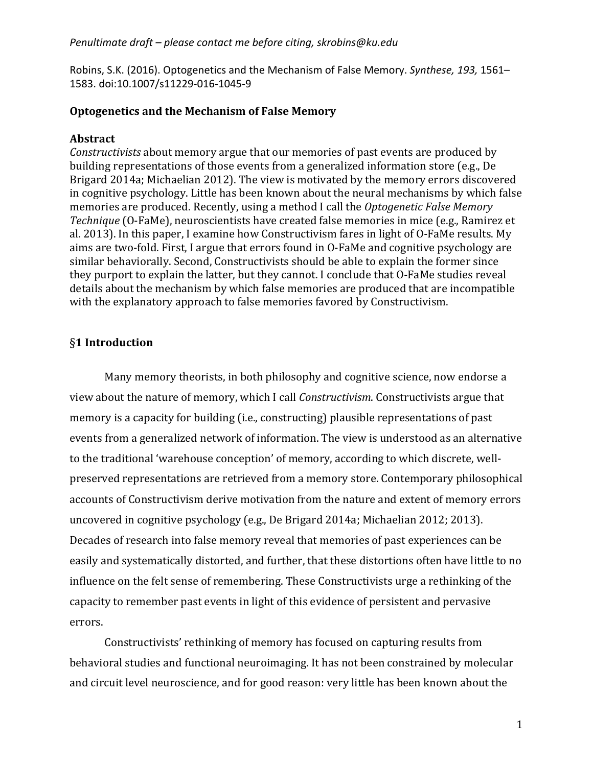Robins, S.K. (2016). Optogenetics and the Mechanism of False Memory. *Synthese, 193, 1561*-1583. doi:10.1007/s11229-016-1045-9

# **Optogenetics and the Mechanism of False Memory**

# **Abstract**

*Constructivists* about memory argue that our memories of past events are produced by building representations of those events from a generalized information store (e.g., De Brigard 2014a; Michaelian 2012). The view is motivated by the memory errors discovered in cognitive psychology. Little has been known about the neural mechanisms by which false memories are produced. Recently, using a method I call the *Optogenetic False Memory Technique* (O-FaMe), neuroscientists have created false memories in mice (e.g., Ramirez et al. 2013). In this paper, I examine how Constructivism fares in light of O-FaMe results. My aims are two-fold. First, I argue that errors found in O-FaMe and cognitive psychology are similar behaviorally. Second, Constructivists should be able to explain the former since they purport to explain the latter, but they cannot. I conclude that O-FaMe studies reveal details about the mechanism by which false memories are produced that are incompatible with the explanatory approach to false memories favored by Constructivism.

# §**1 Introduction**

Many memory theorists, in both philosophy and cognitive science, now endorse a view about the nature of memory, which I call *Constructivism*. Constructivists argue that memory is a capacity for building (i.e., constructing) plausible representations of past events from a generalized network of information. The view is understood as an alternative to the traditional 'warehouse conception' of memory, according to which discrete, wellpreserved representations are retrieved from a memory store. Contemporary philosophical accounts of Constructivism derive motivation from the nature and extent of memory errors uncovered in cognitive psychology (e.g., De Brigard 2014a; Michaelian 2012; 2013). Decades of research into false memory reveal that memories of past experiences can be easily and systematically distorted, and further, that these distortions often have little to no influence on the felt sense of remembering. These Constructivists urge a rethinking of the capacity to remember past events in light of this evidence of persistent and pervasive errors. 

Constructivists' rethinking of memory has focused on capturing results from behavioral studies and functional neuroimaging. It has not been constrained by molecular and circuit level neuroscience, and for good reason: very little has been known about the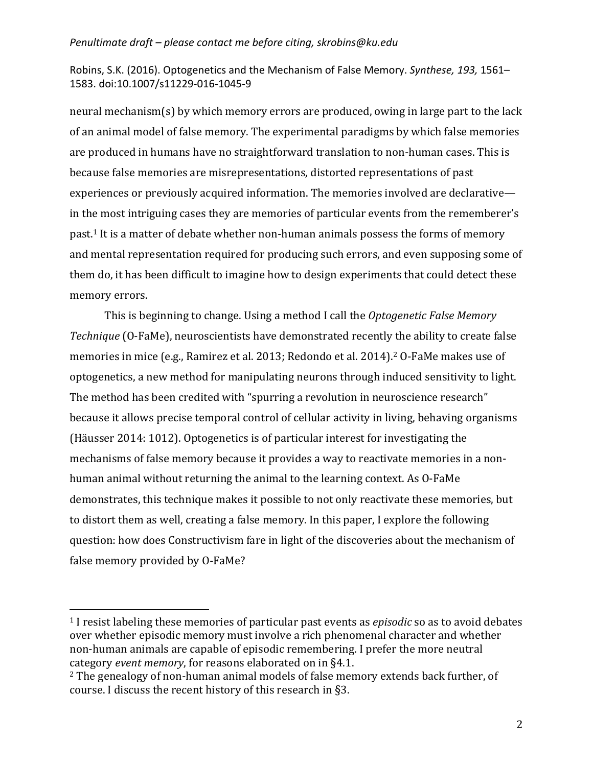Robins, S.K. (2016). Optogenetics and the Mechanism of False Memory. *Synthese, 193, 1561*-1583. doi:10.1007/s11229-016-1045-9

neural mechanism(s) by which memory errors are produced, owing in large part to the lack of an animal model of false memory. The experimental paradigms by which false memories are produced in humans have no straightforward translation to non-human cases. This is because false memories are misrepresentations, distorted representations of past experiences or previously acquired information. The memories involved are declarative in the most intriguing cases they are memories of particular events from the rememberer's past.<sup>1</sup> It is a matter of debate whether non-human animals possess the forms of memory and mental representation required for producing such errors, and even supposing some of them do, it has been difficult to imagine how to design experiments that could detect these memory errors.

This is beginning to change. Using a method I call the *Optogenetic False Memory Technique* (O-FaMe), neuroscientists have demonstrated recently the ability to create false memories in mice (e.g., Ramirez et al. 2013; Redondo et al. 2014).<sup>2</sup> O-FaMe makes use of optogenetics, a new method for manipulating neurons through induced sensitivity to light. The method has been credited with "spurring a revolution in neuroscience research" because it allows precise temporal control of cellular activity in living, behaving organisms (Häusser 2014: 1012). Optogenetics is of particular interest for investigating the mechanisms of false memory because it provides a way to reactivate memories in a nonhuman animal without returning the animal to the learning context. As O-FaMe demonstrates, this technique makes it possible to not only reactivate these memories, but to distort them as well, creating a false memory. In this paper, I explore the following question: how does Constructivism fare in light of the discoveries about the mechanism of false memory provided by O-FaMe?

<sup>&</sup>lt;sup>1</sup> I resist labeling these memories of particular past events as *episodic* so as to avoid debates over whether episodic memory must involve a rich phenomenal character and whether non-human animals are capable of episodic remembering. I prefer the more neutral category *event memory*, for reasons elaborated on in §4.1.

<sup>&</sup>lt;sup>2</sup> The genealogy of non-human animal models of false memory extends back further, of course. I discuss the recent history of this research in  $\S 3$ .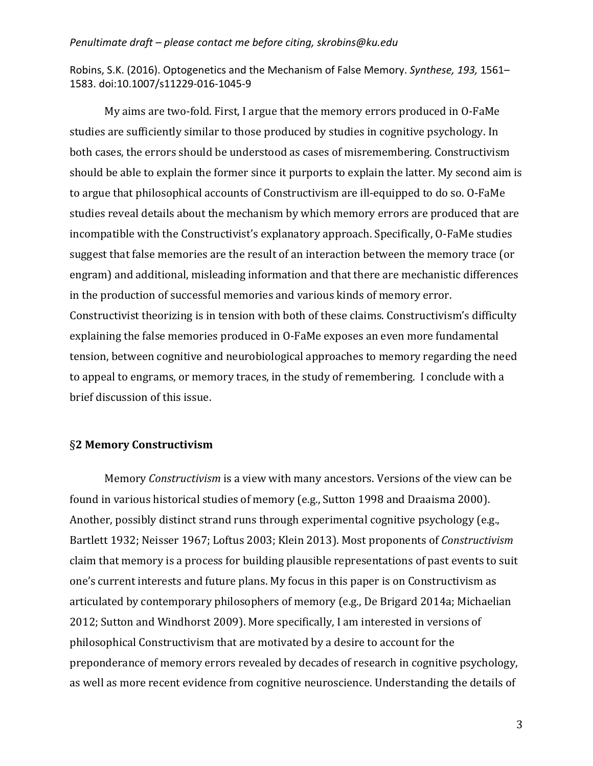Robins, S.K. (2016). Optogenetics and the Mechanism of False Memory. *Synthese, 193, 1561*-1583. doi:10.1007/s11229-016-1045-9

My aims are two-fold. First, I argue that the memory errors produced in O-FaMe studies are sufficiently similar to those produced by studies in cognitive psychology. In both cases, the errors should be understood as cases of misremembering. Constructivism should be able to explain the former since it purports to explain the latter. My second aim is to argue that philosophical accounts of Constructivism are ill-equipped to do so. O-FaMe studies reveal details about the mechanism by which memory errors are produced that are incompatible with the Constructivist's explanatory approach. Specifically, O-FaMe studies suggest that false memories are the result of an interaction between the memory trace (or engram) and additional, misleading information and that there are mechanistic differences in the production of successful memories and various kinds of memory error. Constructivist theorizing is in tension with both of these claims. Constructivism's difficulty explaining the false memories produced in O-FaMe exposes an even more fundamental tension, between cognitive and neurobiological approaches to memory regarding the need to appeal to engrams, or memory traces, in the study of remembering. I conclude with a brief discussion of this issue.

# §**2 Memory Constructivism**

Memory *Constructivism* is a view with many ancestors. Versions of the view can be found in various historical studies of memory (e.g., Sutton 1998 and Draaisma 2000). Another, possibly distinct strand runs through experimental cognitive psychology (e.g., Bartlett 1932; Neisser 1967; Loftus 2003; Klein 2013). Most proponents of *Constructivism* claim that memory is a process for building plausible representations of past events to suit one's current interests and future plans. My focus in this paper is on Constructivism as articulated by contemporary philosophers of memory (e.g., De Brigard 2014a; Michaelian 2012; Sutton and Windhorst 2009). More specifically, I am interested in versions of philosophical Constructivism that are motivated by a desire to account for the preponderance of memory errors revealed by decades of research in cognitive psychology, as well as more recent evidence from cognitive neuroscience. Understanding the details of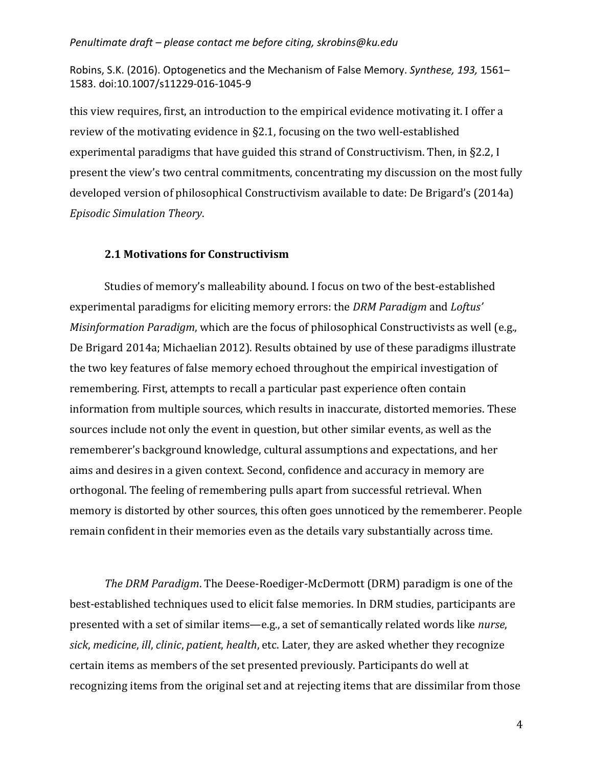Robins, S.K. (2016). Optogenetics and the Mechanism of False Memory. Synthese, 193, 1561– 1583. doi:10.1007/s11229-016-1045-9

this view requires, first, an introduction to the empirical evidence motivating it. I offer a review of the motivating evidence in  $\S2.1$ , focusing on the two well-established experimental paradigms that have guided this strand of Constructivism. Then, in §2.2, I present the view's two central commitments, concentrating my discussion on the most fully developed version of philosophical Constructivism available to date: De Brigard's (2014a) *Episodic Simulation Theory*. 

### **2.1 Motivations for Constructivism**

Studies of memory's malleability abound. I focus on two of the best-established experimental paradigms for eliciting memory errors: the DRM Paradigm and Loftus' *Misinformation Paradigm*, which are the focus of philosophical Constructivists as well (e.g., De Brigard 2014a; Michaelian 2012). Results obtained by use of these paradigms illustrate the two key features of false memory echoed throughout the empirical investigation of remembering. First, attempts to recall a particular past experience often contain information from multiple sources, which results in inaccurate, distorted memories. These sources include not only the event in question, but other similar events, as well as the rememberer's background knowledge, cultural assumptions and expectations, and her aims and desires in a given context. Second, confidence and accuracy in memory are orthogonal. The feeling of remembering pulls apart from successful retrieval. When memory is distorted by other sources, this often goes unnoticed by the rememberer. People remain confident in their memories even as the details vary substantially across time.

*The DRM Paradigm*. The Deese-Roediger-McDermott (DRM) paradigm is one of the best-established techniques used to elicit false memories. In DRM studies, participants are presented with a set of similar items—e.g., a set of semantically related words like *nurse*, *sick*, *medicine*, *ill*, *clinic*, *patient*, *health*, etc. Later, they are asked whether they recognize certain items as members of the set presented previously. Participants do well at recognizing items from the original set and at rejecting items that are dissimilar from those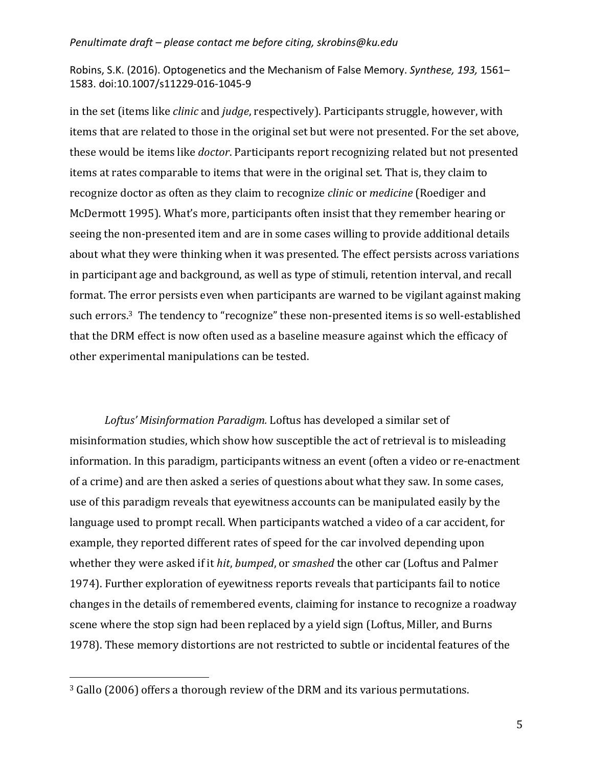Robins, S.K. (2016). Optogenetics and the Mechanism of False Memory. Synthese, 193, 1561– 1583. doi:10.1007/s11229-016-1045-9

in the set (items like *clinic* and *judge*, respectively). Participants struggle, however, with items that are related to those in the original set but were not presented. For the set above, these would be items like *doctor*. Participants report recognizing related but not presented items at rates comparable to items that were in the original set. That is, they claim to recognize doctor as often as they claim to recognize *clinic* or *medicine* (Roediger and McDermott 1995). What's more, participants often insist that they remember hearing or seeing the non-presented item and are in some cases willing to provide additional details about what they were thinking when it was presented. The effect persists across variations in participant age and background, as well as type of stimuli, retention interval, and recall format. The error persists even when participants are warned to be vigilant against making such errors.<sup>3</sup> The tendency to "recognize" these non-presented items is so well-established that the DRM effect is now often used as a baseline measure against which the efficacy of other experimental manipulations can be tested.

Loftus' Misinformation Paradigm. Loftus has developed a similar set of misinformation studies, which show how susceptible the act of retrieval is to misleading information. In this paradigm, participants witness an event (often a video or re-enactment of a crime) and are then asked a series of questions about what they saw. In some cases, use of this paradigm reveals that eyewitness accounts can be manipulated easily by the language used to prompt recall. When participants watched a video of a car accident, for example, they reported different rates of speed for the car involved depending upon whether they were asked if it *hit*, *bumped*, or *smashed* the other car (Loftus and Palmer 1974). Further exploration of eyewitness reports reveals that participants fail to notice changes in the details of remembered events, claiming for instance to recognize a roadway scene where the stop sign had been replaced by a yield sign (Loftus, Miller, and Burns 1978). These memory distortions are not restricted to subtle or incidental features of the

<sup>&</sup>lt;sup>3</sup> Gallo (2006) offers a thorough review of the DRM and its various permutations.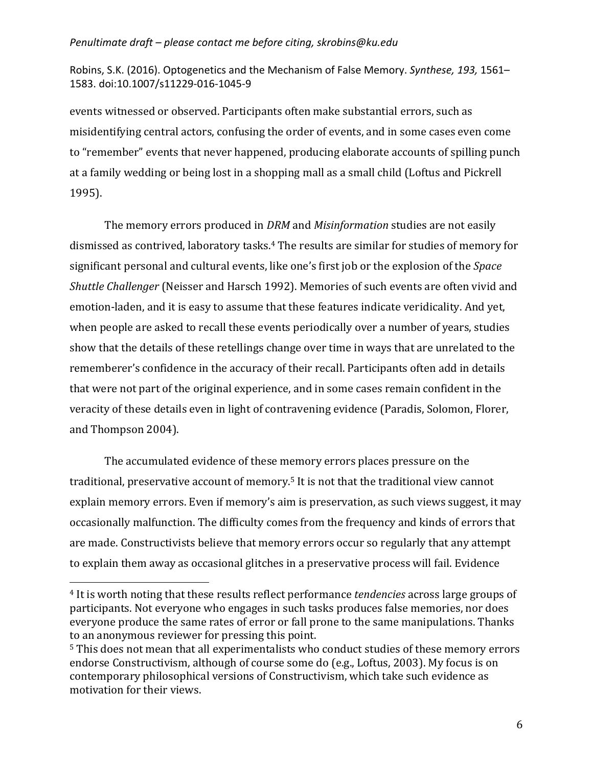Robins, S.K. (2016). Optogenetics and the Mechanism of False Memory. *Synthese, 193, 1561*-1583. doi:10.1007/s11229-016-1045-9

events witnessed or observed. Participants often make substantial errors, such as misidentifying central actors, confusing the order of events, and in some cases even come to "remember" events that never happened, producing elaborate accounts of spilling punch at a family wedding or being lost in a shopping mall as a small child (Loftus and Pickrell 1995). 

The memory errors produced in *DRM* and *Misinformation* studies are not easily dismissed as contrived, laboratory tasks.<sup>4</sup> The results are similar for studies of memory for significant personal and cultural events, like one's first job or the explosion of the *Space Shuttle Challenger* (Neisser and Harsch 1992). Memories of such events are often vivid and emotion-laden, and it is easy to assume that these features indicate veridicality. And yet, when people are asked to recall these events periodically over a number of years, studies show that the details of these retellings change over time in ways that are unrelated to the rememberer's confidence in the accuracy of their recall. Participants often add in details that were not part of the original experience, and in some cases remain confident in the veracity of these details even in light of contravening evidence (Paradis, Solomon, Florer, and Thompson 2004).

The accumulated evidence of these memory errors places pressure on the traditional, preservative account of memory.<sup>5</sup> It is not that the traditional view cannot explain memory errors. Even if memory's aim is preservation, as such views suggest, it may occasionally malfunction. The difficulty comes from the frequency and kinds of errors that are made. Constructivists believe that memory errors occur so regularly that any attempt to explain them away as occasional glitches in a preservative process will fail. Evidence

<sup>&</sup>lt;sup>4</sup> It is worth noting that these results reflect performance *tendencies* across large groups of participants. Not everyone who engages in such tasks produces false memories, nor does everyone produce the same rates of error or fall prone to the same manipulations. Thanks to an anonymous reviewer for pressing this point.

<sup>&</sup>lt;sup>5</sup> This does not mean that all experimentalists who conduct studies of these memory errors endorse Constructivism, although of course some do (e.g., Loftus, 2003). My focus is on contemporary philosophical versions of Constructivism, which take such evidence as motivation for their views.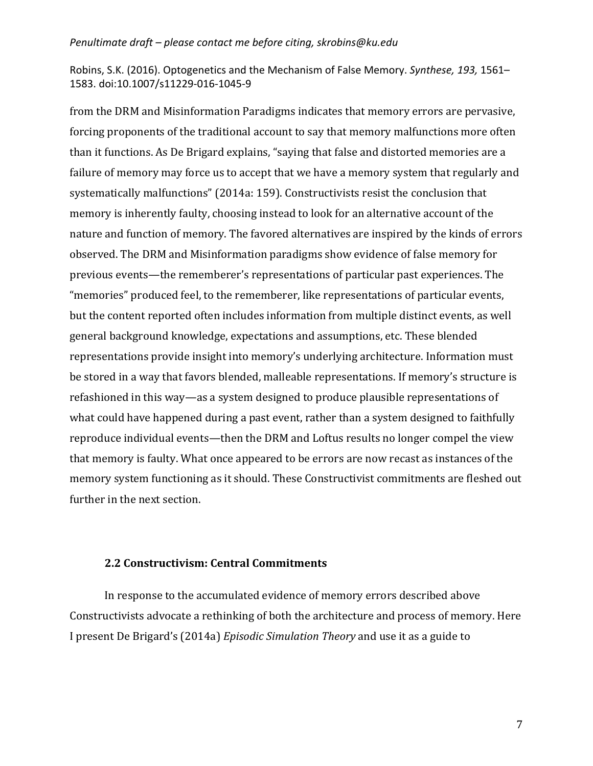Robins, S.K. (2016). Optogenetics and the Mechanism of False Memory. *Synthese, 193, 1561*-1583. doi:10.1007/s11229-016-1045-9

from the DRM and Misinformation Paradigms indicates that memory errors are pervasive, forcing proponents of the traditional account to say that memory malfunctions more often than it functions. As De Brigard explains, "saying that false and distorted memories are a failure of memory may force us to accept that we have a memory system that regularly and systematically malfunctions" (2014a: 159). Constructivists resist the conclusion that memory is inherently faulty, choosing instead to look for an alternative account of the nature and function of memory. The favored alternatives are inspired by the kinds of errors observed. The DRM and Misinformation paradigms show evidence of false memory for previous events—the rememberer's representations of particular past experiences. The "memories" produced feel, to the rememberer, like representations of particular events, but the content reported often includes information from multiple distinct events, as well general background knowledge, expectations and assumptions, etc. These blended representations provide insight into memory's underlying architecture. Information must be stored in a way that favors blended, malleable representations. If memory's structure is refashioned in this way—as a system designed to produce plausible representations of what could have happened during a past event, rather than a system designed to faithfully reproduce individual events—then the DRM and Loftus results no longer compel the view that memory is faulty. What once appeared to be errors are now recast as instances of the memory system functioning as it should. These Constructivist commitments are fleshed out further in the next section.

### **2.2 Constructivism: Central Commitments**

In response to the accumulated evidence of memory errors described above Constructivists advocate a rethinking of both the architecture and process of memory. Here I present De Brigard's (2014a) *Episodic Simulation Theory* and use it as a guide to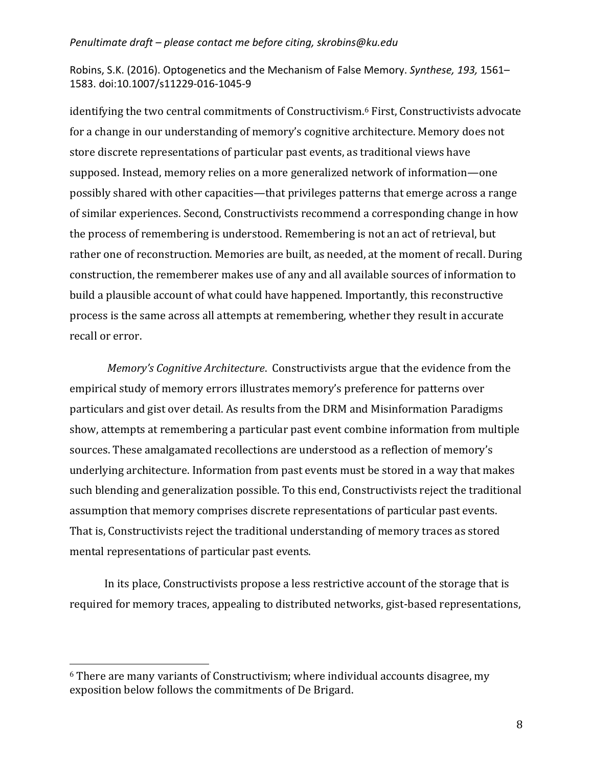Robins, S.K. (2016). Optogenetics and the Mechanism of False Memory. *Synthese, 193, 1561*-1583. doi:10.1007/s11229-016-1045-9

identifying the two central commitments of Constructivism.<sup>6</sup> First, Constructivists advocate for a change in our understanding of memory's cognitive architecture. Memory does not store discrete representations of particular past events, as traditional views have supposed. Instead, memory relies on a more generalized network of information—one possibly shared with other capacities—that privileges patterns that emerge across a range of similar experiences. Second, Constructivists recommend a corresponding change in how the process of remembering is understood. Remembering is not an act of retrieval, but rather one of reconstruction. Memories are built, as needed, at the moment of recall. During construction, the rememberer makes use of any and all available sources of information to build a plausible account of what could have happened. Importantly, this reconstructive process is the same across all attempts at remembering, whether they result in accurate recall or error.

*Memory's Cognitive Architecture.* Constructivists argue that the evidence from the empirical study of memory errors illustrates memory's preference for patterns over particulars and gist over detail. As results from the DRM and Misinformation Paradigms show, attempts at remembering a particular past event combine information from multiple sources. These amalgamated recollections are understood as a reflection of memory's underlying architecture. Information from past events must be stored in a way that makes such blending and generalization possible. To this end, Constructivists reject the traditional assumption that memory comprises discrete representations of particular past events. That is, Constructivists reject the traditional understanding of memory traces as stored mental representations of particular past events.

In its place, Constructivists propose a less restrictive account of the storage that is required for memory traces, appealing to distributed networks, gist-based representations,

 $6$  There are many variants of Constructivism; where individual accounts disagree, my exposition below follows the commitments of De Brigard.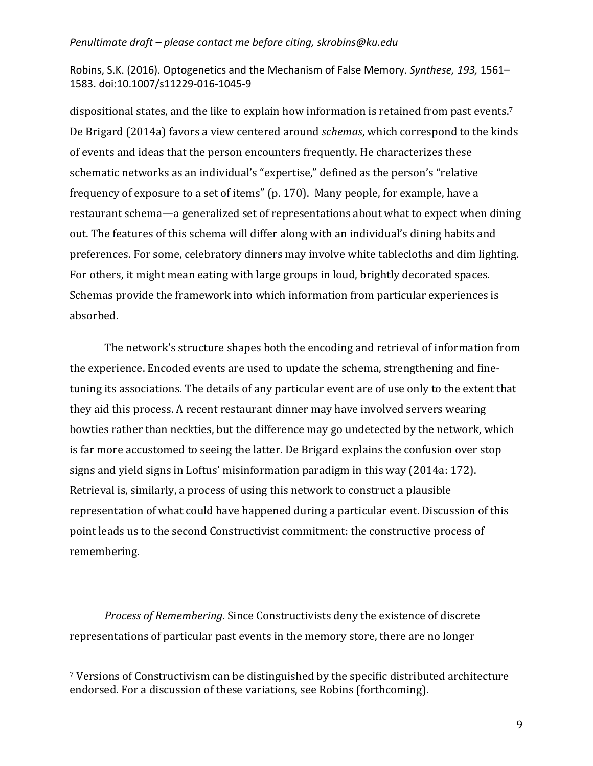Robins, S.K. (2016). Optogenetics and the Mechanism of False Memory. *Synthese, 193, 1561*-1583. doi:10.1007/s11229-016-1045-9

dispositional states, and the like to explain how information is retained from past events.<sup>7</sup> De Brigard (2014a) favors a view centered around *schemas*, which correspond to the kinds of events and ideas that the person encounters frequently. He characterizes these schematic networks as an individual's "expertise," defined as the person's "relative frequency of exposure to a set of items" (p. 170). Many people, for example, have a restaurant schema—a generalized set of representations about what to expect when dining out. The features of this schema will differ along with an individual's dining habits and preferences. For some, celebratory dinners may involve white tablecloths and dim lighting. For others, it might mean eating with large groups in loud, brightly decorated spaces. Schemas provide the framework into which information from particular experiences is absorbed. 

The network's structure shapes both the encoding and retrieval of information from the experience. Encoded events are used to update the schema, strengthening and finetuning its associations. The details of any particular event are of use only to the extent that they aid this process. A recent restaurant dinner may have involved servers wearing bowties rather than neckties, but the difference may go undetected by the network, which is far more accustomed to seeing the latter. De Brigard explains the confusion over stop signs and yield signs in Loftus' misinformation paradigm in this way (2014a: 172). Retrieval is, similarly, a process of using this network to construct a plausible representation of what could have happened during a particular event. Discussion of this point leads us to the second Constructivist commitment: the constructive process of remembering. 

*Process of Remembering.* Since Constructivists deny the existence of discrete representations of particular past events in the memory store, there are no longer

<sup>&</sup>lt;sup>7</sup> Versions of Constructivism can be distinguished by the specific distributed architecture endorsed. For a discussion of these variations, see Robins (forthcoming).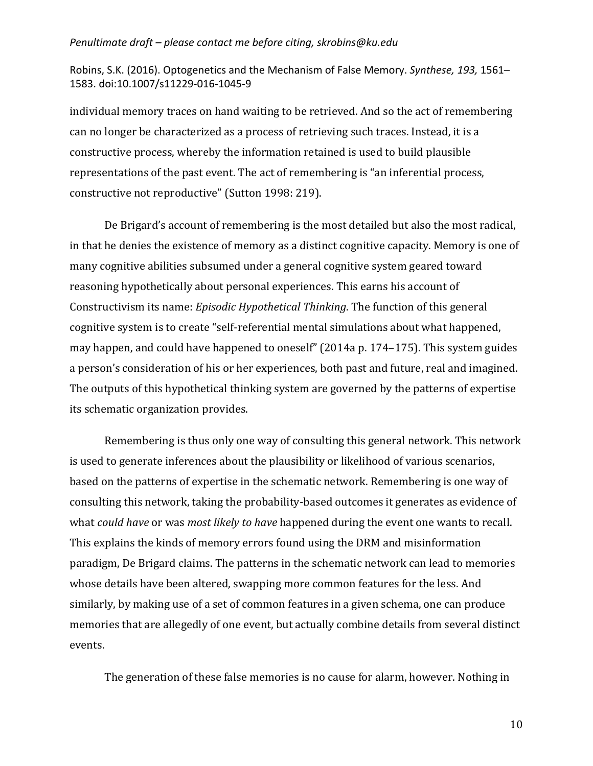Robins, S.K. (2016). Optogenetics and the Mechanism of False Memory. *Synthese, 193, 1561*-1583. doi:10.1007/s11229-016-1045-9

individual memory traces on hand waiting to be retrieved. And so the act of remembering can no longer be characterized as a process of retrieving such traces. Instead, it is a constructive process, whereby the information retained is used to build plausible representations of the past event. The act of remembering is "an inferential process, constructive not reproductive" (Sutton 1998: 219).

De Brigard's account of remembering is the most detailed but also the most radical, in that he denies the existence of memory as a distinct cognitive capacity. Memory is one of many cognitive abilities subsumed under a general cognitive system geared toward reasoning hypothetically about personal experiences. This earns his account of Constructivism its name: *Episodic Hypothetical Thinking*. The function of this general cognitive system is to create "self-referential mental simulations about what happened, may happen, and could have happened to oneself"  $(2014a p. 174-175)$ . This system guides a person's consideration of his or her experiences, both past and future, real and imagined. The outputs of this hypothetical thinking system are governed by the patterns of expertise its schematic organization provides.

Remembering is thus only one way of consulting this general network. This network is used to generate inferences about the plausibility or likelihood of various scenarios, based on the patterns of expertise in the schematic network. Remembering is one way of consulting this network, taking the probability-based outcomes it generates as evidence of what *could have* or was *most likely to have* happened during the event one wants to recall. This explains the kinds of memory errors found using the DRM and misinformation paradigm, De Brigard claims. The patterns in the schematic network can lead to memories whose details have been altered, swapping more common features for the less. And similarly, by making use of a set of common features in a given schema, one can produce memories that are allegedly of one event, but actually combine details from several distinct events. 

The generation of these false memories is no cause for alarm, however. Nothing in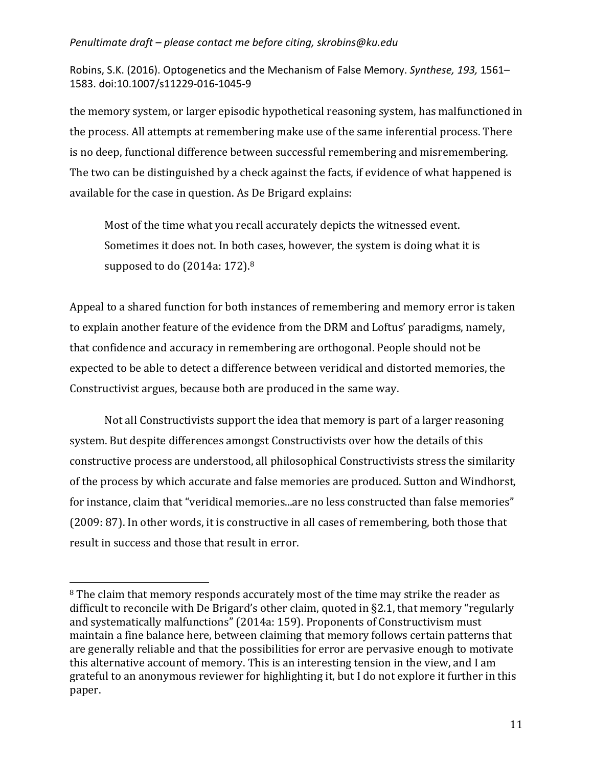Robins, S.K. (2016). Optogenetics and the Mechanism of False Memory. *Synthese, 193, 1561*-1583. doi:10.1007/s11229-016-1045-9

the memory system, or larger episodic hypothetical reasoning system, has malfunctioned in the process. All attempts at remembering make use of the same inferential process. There is no deep, functional difference between successful remembering and misremembering. The two can be distinguished by a check against the facts, if evidence of what happened is available for the case in question. As De Brigard explains:

Most of the time what you recall accurately depicts the witnessed event. Sometimes it does not. In both cases, however, the system is doing what it is supposed to do  $(2014a: 172).<sup>8</sup>$ 

Appeal to a shared function for both instances of remembering and memory error is taken to explain another feature of the evidence from the DRM and Loftus' paradigms, namely, that confidence and accuracy in remembering are orthogonal. People should not be expected to be able to detect a difference between veridical and distorted memories, the Constructivist argues, because both are produced in the same way.

Not all Constructivists support the idea that memory is part of a larger reasoning system. But despite differences amongst Constructivists over how the details of this constructive process are understood, all philosophical Constructivists stress the similarity of the process by which accurate and false memories are produced. Sutton and Windhorst, for instance, claim that "veridical memories...are no less constructed than false memories" (2009: 87). In other words, it is constructive in all cases of remembering, both those that result in success and those that result in error.

<sup>&</sup>lt;sup>8</sup> The claim that memory responds accurately most of the time may strike the reader as difficult to reconcile with De Brigard's other claim, quoted in §2.1, that memory "regularly and systematically malfunctions" (2014a: 159). Proponents of Constructivism must maintain a fine balance here, between claiming that memory follows certain patterns that are generally reliable and that the possibilities for error are pervasive enough to motivate this alternative account of memory. This is an interesting tension in the view, and I am grateful to an anonymous reviewer for highlighting it, but I do not explore it further in this paper.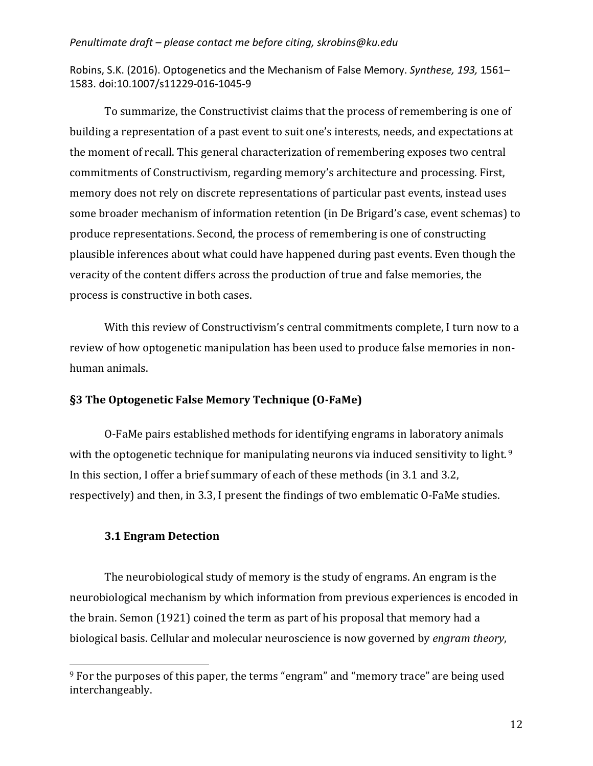Robins, S.K. (2016). Optogenetics and the Mechanism of False Memory. *Synthese, 193, 1561*-1583. doi:10.1007/s11229-016-1045-9

To summarize, the Constructivist claims that the process of remembering is one of building a representation of a past event to suit one's interests, needs, and expectations at the moment of recall. This general characterization of remembering exposes two central commitments of Constructivism, regarding memory's architecture and processing. First, memory does not rely on discrete representations of particular past events, instead uses some broader mechanism of information retention (in De Brigard's case, event schemas) to produce representations. Second, the process of remembering is one of constructing plausible inferences about what could have happened during past events. Even though the veracity of the content differs across the production of true and false memories, the process is constructive in both cases.

With this review of Constructivism's central commitments complete, I turn now to a review of how optogenetic manipulation has been used to produce false memories in nonhuman animals.

## **§3** The Optogenetic False Memory Technique (O-FaMe)

O-FaMe pairs established methods for identifying engrams in laboratory animals with the optogenetic technique for manipulating neurons via induced sensitivity to light.<sup>9</sup> In this section, I offer a brief summary of each of these methods (in 3.1 and 3.2, respectively) and then, in 3.3, I present the findings of two emblematic O-FaMe studies.

## **3.1 Engram Detection**

 

The neurobiological study of memory is the study of engrams. An engram is the neurobiological mechanism by which information from previous experiences is encoded in the brain. Semon (1921) coined the term as part of his proposal that memory had a biological basis. Cellular and molecular neuroscience is now governed by *engram theory*,

 $9$  For the purposes of this paper, the terms "engram" and "memory trace" are being used interchangeably.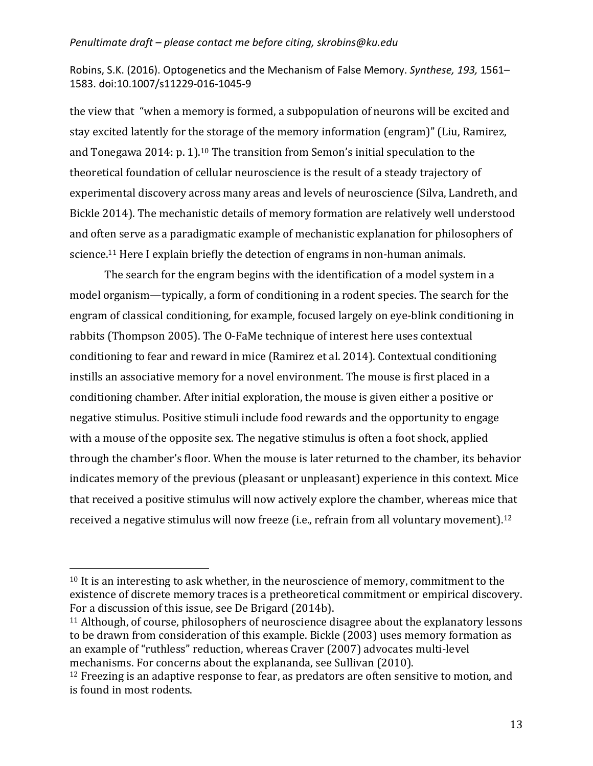Robins, S.K. (2016). Optogenetics and the Mechanism of False Memory. *Synthese, 193, 1561*-1583. doi:10.1007/s11229-016-1045-9

the view that "when a memory is formed, a subpopulation of neurons will be excited and stay excited latently for the storage of the memory information (engram)" (Liu, Ramirez, and Tonegawa 2014: p. 1).<sup>10</sup> The transition from Semon's initial speculation to the theoretical foundation of cellular neuroscience is the result of a steady trajectory of experimental discovery across many areas and levels of neuroscience (Silva, Landreth, and Bickle 2014). The mechanistic details of memory formation are relatively well understood and often serve as a paradigmatic example of mechanistic explanation for philosophers of science.<sup>11</sup> Here I explain briefly the detection of engrams in non-human animals.

The search for the engram begins with the identification of a model system in a model organism—typically, a form of conditioning in a rodent species. The search for the engram of classical conditioning, for example, focused largely on eve-blink conditioning in rabbits (Thompson 2005). The O-FaMe technique of interest here uses contextual conditioning to fear and reward in mice (Ramirez et al. 2014). Contextual conditioning instills an associative memory for a novel environment. The mouse is first placed in a conditioning chamber. After initial exploration, the mouse is given either a positive or negative stimulus. Positive stimuli include food rewards and the opportunity to engage with a mouse of the opposite sex. The negative stimulus is often a foot shock, applied through the chamber's floor. When the mouse is later returned to the chamber, its behavior indicates memory of the previous (pleasant or unpleasant) experience in this context. Mice that received a positive stimulus will now actively explore the chamber, whereas mice that received a negative stimulus will now freeze (i.e., refrain from all voluntary movement).<sup>12</sup>

 $10$  It is an interesting to ask whether, in the neuroscience of memory, commitment to the existence of discrete memory traces is a pretheoretical commitment or empirical discovery. For a discussion of this issue, see De Brigard (2014b).

 $11$  Although, of course, philosophers of neuroscience disagree about the explanatory lessons to be drawn from consideration of this example. Bickle (2003) uses memory formation as an example of "ruthless" reduction, whereas Craver (2007) advocates multi-level mechanisms. For concerns about the explananda, see Sullivan (2010).

 $12$  Freezing is an adaptive response to fear, as predators are often sensitive to motion, and is found in most rodents.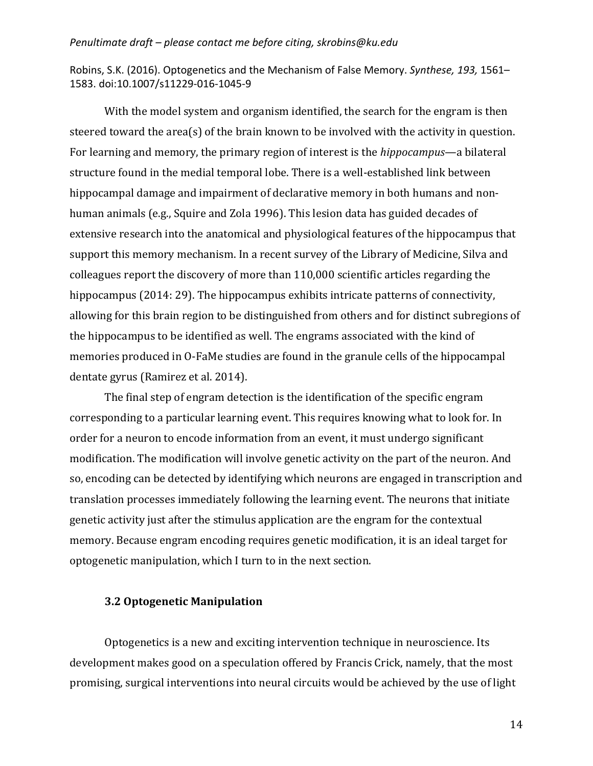Robins, S.K. (2016). Optogenetics and the Mechanism of False Memory. *Synthese, 193, 1561*-1583. doi:10.1007/s11229-016-1045-9

With the model system and organism identified, the search for the engram is then steered toward the area(s) of the brain known to be involved with the activity in question. For learning and memory, the primary region of interest is the *hippocampus*—a bilateral structure found in the medial temporal lobe. There is a well-established link between hippocampal damage and impairment of declarative memory in both humans and nonhuman animals (e.g., Squire and Zola 1996). This lesion data has guided decades of extensive research into the anatomical and physiological features of the hippocampus that support this memory mechanism. In a recent survey of the Library of Medicine, Silva and colleagues report the discovery of more than 110,000 scientific articles regarding the hippocampus (2014: 29). The hippocampus exhibits intricate patterns of connectivity, allowing for this brain region to be distinguished from others and for distinct subregions of the hippocampus to be identified as well. The engrams associated with the kind of memories produced in O-FaMe studies are found in the granule cells of the hippocampal dentate gyrus (Ramirez et al. 2014).

The final step of engram detection is the identification of the specific engram corresponding to a particular learning event. This requires knowing what to look for. In order for a neuron to encode information from an event, it must undergo significant modification. The modification will involve genetic activity on the part of the neuron. And so, encoding can be detected by identifying which neurons are engaged in transcription and translation processes immediately following the learning event. The neurons that initiate genetic activity just after the stimulus application are the engram for the contextual memory. Because engram encoding requires genetic modification, it is an ideal target for optogenetic manipulation, which I turn to in the next section.

# **3.2 Optogenetic Manipulation**

Optogenetics is a new and exciting intervention technique in neuroscience. Its development makes good on a speculation offered by Francis Crick, namely, that the most promising, surgical interventions into neural circuits would be achieved by the use of light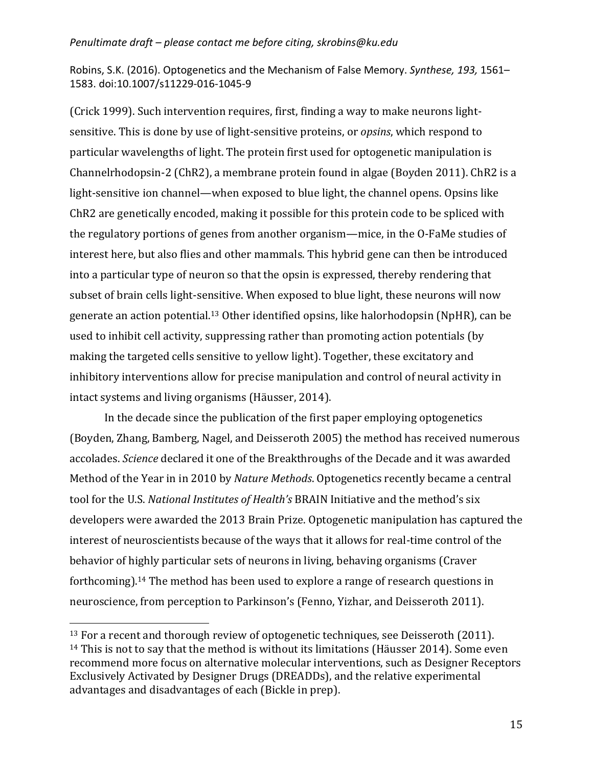Robins, S.K. (2016). Optogenetics and the Mechanism of False Memory. *Synthese, 193, 1561*-1583. doi:10.1007/s11229-016-1045-9

(Crick 1999). Such intervention requires, first, finding a way to make neurons lightsensitive. This is done by use of light-sensitive proteins, or *opsins*, which respond to particular wavelengths of light. The protein first used for optogenetic manipulation is Channelrhodopsin-2 (ChR2), a membrane protein found in algae (Boyden 2011). ChR2 is a light-sensitive ion channel—when exposed to blue light, the channel opens. Opsins like ChR2 are genetically encoded, making it possible for this protein code to be spliced with the regulatory portions of genes from another organism—mice, in the O-FaMe studies of interest here, but also flies and other mammals. This hybrid gene can then be introduced into a particular type of neuron so that the opsin is expressed, thereby rendering that subset of brain cells light-sensitive. When exposed to blue light, these neurons will now generate an action potential.<sup>13</sup> Other identified opsins, like halorhodopsin (NpHR), can be used to inhibit cell activity, suppressing rather than promoting action potentials (by making the targeted cells sensitive to yellow light). Together, these excitatory and inhibitory interventions allow for precise manipulation and control of neural activity in intact systems and living organisms (Häusser, 2014).

In the decade since the publication of the first paper employing optogenetics (Boyden, Zhang, Bamberg, Nagel, and Deisseroth 2005) the method has received numerous accolades. *Science* declared it one of the Breakthroughs of the Decade and it was awarded Method of the Year in in 2010 by *Nature Methods*. Optogenetics recently became a central tool for the U.S. *National Institutes of Health's* BRAIN Initiative and the method's six developers were awarded the 2013 Brain Prize. Optogenetic manipulation has captured the interest of neuroscientists because of the ways that it allows for real-time control of the behavior of highly particular sets of neurons in living, behaving organisms (Craver forthcoming).<sup>14</sup> The method has been used to explore a range of research questions in neuroscience, from perception to Parkinson's (Fenno, Yizhar, and Deisseroth 2011).

 $13$  For a recent and thorough review of optogenetic techniques, see Deisseroth (2011).  $14$  This is not to say that the method is without its limitations (Häusser 2014). Some even recommend more focus on alternative molecular interventions, such as Designer Receptors Exclusively Activated by Designer Drugs (DREADDs), and the relative experimental advantages and disadvantages of each (Bickle in prep).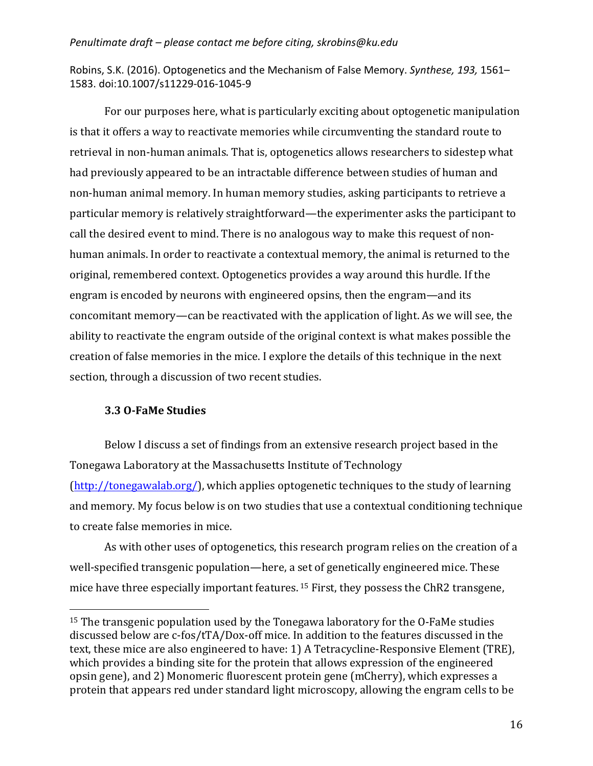Robins, S.K. (2016). Optogenetics and the Mechanism of False Memory. *Synthese, 193, 1561*-1583. doi:10.1007/s11229-016-1045-9

For our purposes here, what is particularly exciting about optogenetic manipulation is that it offers a way to reactivate memories while circumventing the standard route to retrieval in non-human animals. That is, optogenetics allows researchers to sidestep what had previously appeared to be an intractable difference between studies of human and non-human animal memory. In human memory studies, asking participants to retrieve a particular memory is relatively straightforward—the experimenter asks the participant to call the desired event to mind. There is no analogous way to make this request of nonhuman animals. In order to reactivate a contextual memory, the animal is returned to the original, remembered context. Optogenetics provides a way around this hurdle. If the engram is encoded by neurons with engineered opsins, then the engram—and its concomitant memory—can be reactivated with the application of light. As we will see, the ability to reactivate the engram outside of the original context is what makes possible the creation of false memories in the mice. I explore the details of this technique in the next section, through a discussion of two recent studies.

# **3.3 O-FaMe Studies**

 

Below I discuss a set of findings from an extensive research project based in the Tonegawa Laboratory at the Massachusetts Institute of Technology  $(\text{http://tonegawalab.org/})$ , which applies optogenetic techniques to the study of learning and memory. My focus below is on two studies that use a contextual conditioning technique to create false memories in mice.

As with other uses of optogenetics, this research program relies on the creation of a well-specified transgenic population—here, a set of genetically engineered mice. These mice have three especially important features.  $15$  First, they possess the ChR2 transgene,

 $15$  The transgenic population used by the Tonegawa laboratory for the O-FaMe studies discussed below are c-fos/tTA/Dox-off mice. In addition to the features discussed in the text, these mice are also engineered to have: 1) A Tetracycline-Responsive Element (TRE), which provides a binding site for the protein that allows expression of the engineered opsin gene), and 2) Monomeric fluorescent protein gene (mCherry), which expresses a protein that appears red under standard light microscopy, allowing the engram cells to be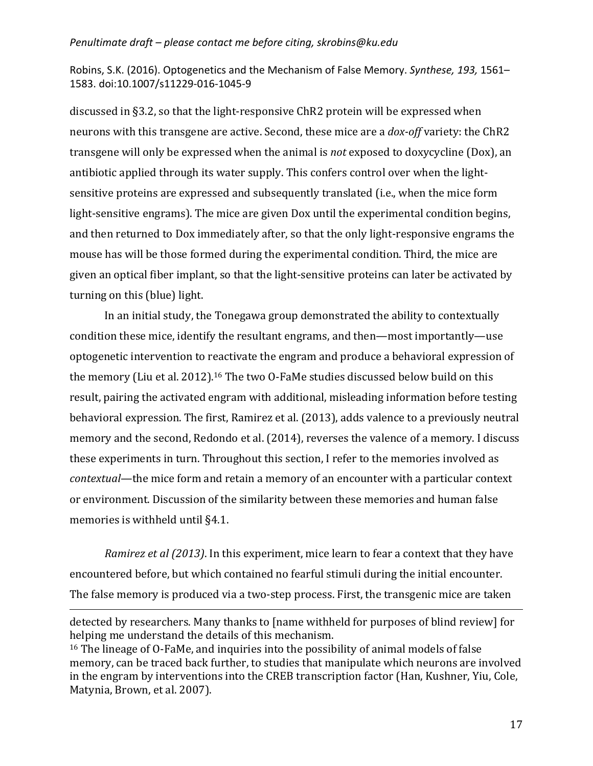Robins, S.K. (2016). Optogenetics and the Mechanism of False Memory. *Synthese, 193, 1561*-1583. doi:10.1007/s11229-016-1045-9

discussed in §3.2, so that the light-responsive ChR2 protein will be expressed when neurons with this transgene are active. Second, these mice are a *dox-off* variety: the ChR2 transgene will only be expressed when the animal is *not* exposed to doxycycline (Dox), an antibiotic applied through its water supply. This confers control over when the lightsensitive proteins are expressed and subsequently translated (i.e., when the mice form light-sensitive engrams). The mice are given Dox until the experimental condition begins, and then returned to Dox immediately after, so that the only light-responsive engrams the mouse has will be those formed during the experimental condition. Third, the mice are given an optical fiber implant, so that the light-sensitive proteins can later be activated by turning on this (blue) light.

In an initial study, the Tonegawa group demonstrated the ability to contextually condition these mice, identify the resultant engrams, and then—most importantly—use optogenetic intervention to reactivate the engram and produce a behavioral expression of the memory (Liu et al. 2012).<sup>16</sup> The two O-FaMe studies discussed below build on this result, pairing the activated engram with additional, misleading information before testing behavioral expression. The first, Ramirez et al. (2013), adds valence to a previously neutral memory and the second, Redondo et al. (2014), reverses the valence of a memory. I discuss these experiments in turn. Throughout this section, I refer to the memories involved as *contextual*—the mice form and retain a memory of an encounter with a particular context or environment. Discussion of the similarity between these memories and human false memories is withheld until §4.1.

*Ramirez et al (2013)*. In this experiment, mice learn to fear a context that they have encountered before, but which contained no fearful stimuli during the initial encounter. The false memory is produced via a two-step process. First, the transgenic mice are taken

<u> 1989 - Andrea Santa Andrea Santa Andrea Santa Andrea Santa Andrea Santa Andrea Santa Andrea Santa Andrea San</u>

detected by researchers. Many thanks to [name withheld for purposes of blind review] for helping me understand the details of this mechanism.

 $16$  The lineage of O-FaMe, and inquiries into the possibility of animal models of false memory, can be traced back further, to studies that manipulate which neurons are involved in the engram by interventions into the CREB transcription factor (Han, Kushner, Yiu, Cole, Matynia, Brown, et al. 2007).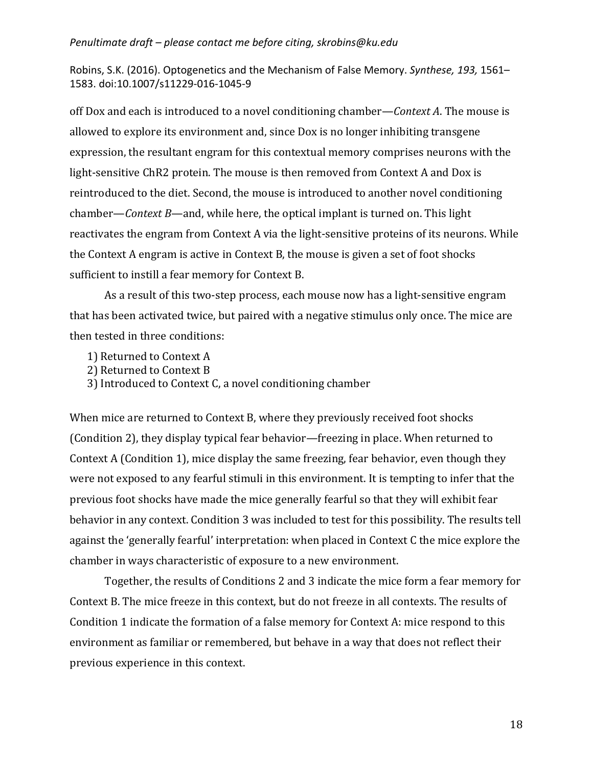Robins, S.K. (2016). Optogenetics and the Mechanism of False Memory. *Synthese, 193, 1561*-1583. doi:10.1007/s11229-016-1045-9

off Dox and each is introduced to a novel conditioning chamber—*Context A*. The mouse is allowed to explore its environment and, since Dox is no longer inhibiting transgene expression, the resultant engram for this contextual memory comprises neurons with the light-sensitive ChR2 protein. The mouse is then removed from Context A and Dox is reintroduced to the diet. Second, the mouse is introduced to another novel conditioning chamber—*Context B*—and, while here, the optical implant is turned on. This light reactivates the engram from Context A via the light-sensitive proteins of its neurons. While the Context  $A$  engram is active in Context  $B$ , the mouse is given a set of foot shocks sufficient to instill a fear memory for Context B.

As a result of this two-step process, each mouse now has a light-sensitive engram that has been activated twice, but paired with a negative stimulus only once. The mice are then tested in three conditions:

- 1) Returned to Context A
- 2) Returned to Context B
- 3) Introduced to Context C, a novel conditioning chamber

When mice are returned to Context B, where they previously received foot shocks (Condition 2), they display typical fear behavior—freezing in place. When returned to Context A (Condition 1), mice display the same freezing, fear behavior, even though they were not exposed to any fearful stimuli in this environment. It is tempting to infer that the previous foot shocks have made the mice generally fearful so that they will exhibit fear behavior in any context. Condition 3 was included to test for this possibility. The results tell against the 'generally fearful' interpretation: when placed in Context C the mice explore the chamber in ways characteristic of exposure to a new environment.

Together, the results of Conditions 2 and 3 indicate the mice form a fear memory for Context B. The mice freeze in this context, but do not freeze in all contexts. The results of Condition 1 indicate the formation of a false memory for Context A: mice respond to this environment as familiar or remembered, but behave in a way that does not reflect their previous experience in this context.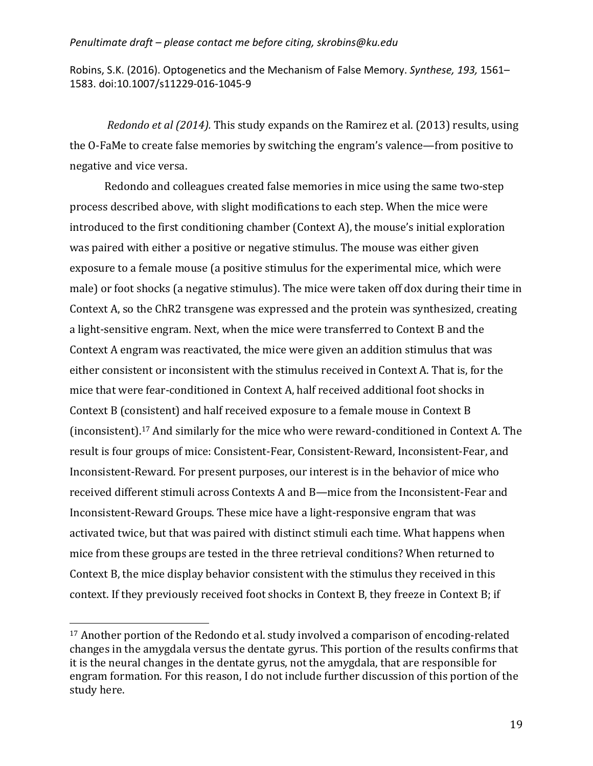Robins, S.K. (2016). Optogenetics and the Mechanism of False Memory. *Synthese, 193, 1561*-1583. doi:10.1007/s11229-016-1045-9

*Redondo et al (2014).* This study expands on the Ramirez et al. (2013) results, using the O-FaMe to create false memories by switching the engram's valence—from positive to negative and vice versa.

Redondo and colleagues created false memories in mice using the same two-step process described above, with slight modifications to each step. When the mice were introduced to the first conditioning chamber (Context A), the mouse's initial exploration was paired with either a positive or negative stimulus. The mouse was either given exposure to a female mouse (a positive stimulus for the experimental mice, which were male) or foot shocks (a negative stimulus). The mice were taken off dox during their time in Context A, so the ChR2 transgene was expressed and the protein was synthesized, creating a light-sensitive engram. Next, when the mice were transferred to Context B and the Context A engram was reactivated, the mice were given an addition stimulus that was either consistent or inconsistent with the stimulus received in Context A. That is, for the mice that were fear-conditioned in Context A, half received additional foot shocks in Context B (consistent) and half received exposure to a female mouse in Context B (inconsistent).<sup>17</sup> And similarly for the mice who were reward-conditioned in Context A. The result is four groups of mice: Consistent-Fear, Consistent-Reward, Inconsistent-Fear, and Inconsistent-Reward. For present purposes, our interest is in the behavior of mice who received different stimuli across Contexts A and B—mice from the Inconsistent-Fear and Inconsistent-Reward Groups. These mice have a light-responsive engram that was activated twice, but that was paired with distinct stimuli each time. What happens when mice from these groups are tested in the three retrieval conditions? When returned to Context B, the mice display behavior consistent with the stimulus they received in this context. If they previously received foot shocks in Context B, they freeze in Context B; if

 $17$  Another portion of the Redondo et al. study involved a comparison of encoding-related changes in the amygdala versus the dentate gyrus. This portion of the results confirms that it is the neural changes in the dentate gyrus, not the amygdala, that are responsible for engram formation. For this reason, I do not include further discussion of this portion of the study here.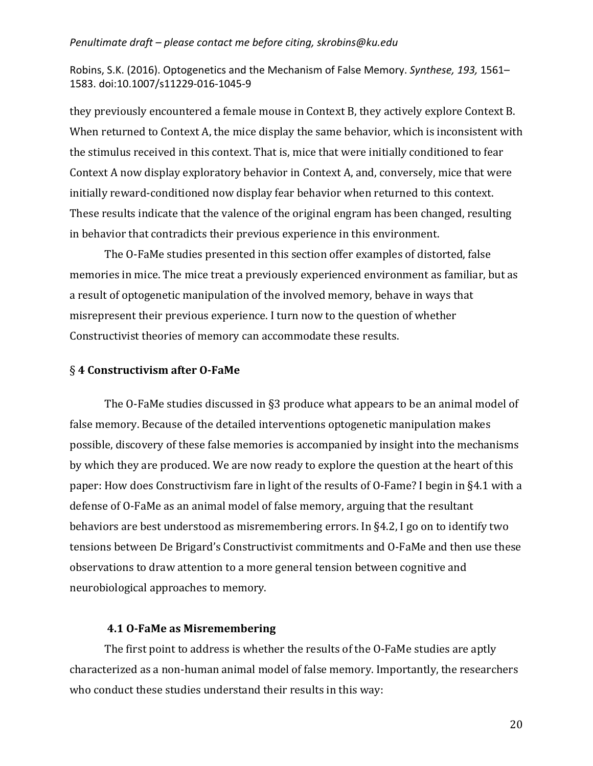Robins, S.K. (2016). Optogenetics and the Mechanism of False Memory. Synthese, 193, 1561– 1583. doi:10.1007/s11229-016-1045-9

they previously encountered a female mouse in Context B, they actively explore Context B. When returned to Context A, the mice display the same behavior, which is inconsistent with the stimulus received in this context. That is, mice that were initially conditioned to fear Context A now display exploratory behavior in Context A, and, conversely, mice that were initially reward-conditioned now display fear behavior when returned to this context. These results indicate that the valence of the original engram has been changed, resulting in behavior that contradicts their previous experience in this environment.

The O-FaMe studies presented in this section offer examples of distorted, false memories in mice. The mice treat a previously experienced environment as familiar, but as a result of optogenetic manipulation of the involved memory, behave in ways that misrepresent their previous experience. I turn now to the question of whether Constructivist theories of memory can accommodate these results.

## § **4 Constructivism after O-FaMe**

The O-FaMe studies discussed in §3 produce what appears to be an animal model of false memory. Because of the detailed interventions optogenetic manipulation makes possible, discovery of these false memories is accompanied by insight into the mechanisms by which they are produced. We are now ready to explore the question at the heart of this paper: How does Constructivism fare in light of the results of  $0$ -Fame? I begin in §4.1 with a defense of O-FaMe as an animal model of false memory, arguing that the resultant behaviors are best understood as misremembering errors. In  $\S 4.2$ , I go on to identify two tensions between De Brigard's Constructivist commitments and O-FaMe and then use these observations to draw attention to a more general tension between cognitive and neurobiological approaches to memory.

# **4.1 O-FaMe as Misremembering**

The first point to address is whether the results of the O-FaMe studies are aptly characterized as a non-human animal model of false memory. Importantly, the researchers who conduct these studies understand their results in this way: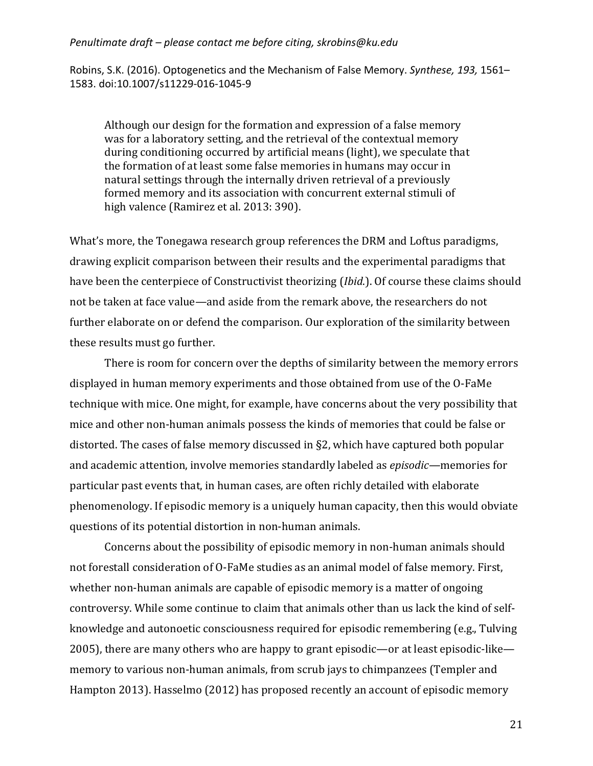Robins, S.K. (2016). Optogenetics and the Mechanism of False Memory. Synthese, 193, 1561– 1583. doi:10.1007/s11229-016-1045-9

Although our design for the formation and expression of a false memory was for a laboratory setting, and the retrieval of the contextual memory during conditioning occurred by artificial means (light), we speculate that the formation of at least some false memories in humans may occur in natural settings through the internally driven retrieval of a previously formed memory and its association with concurrent external stimuli of high valence (Ramirez et al. 2013: 390).

What's more, the Tonegawa research group references the DRM and Loftus paradigms, drawing explicit comparison between their results and the experimental paradigms that have been the centerpiece of Constructivist theorizing (*Ibid*.). Of course these claims should not be taken at face value—and aside from the remark above, the researchers do not further elaborate on or defend the comparison. Our exploration of the similarity between these results must go further.

There is room for concern over the depths of similarity between the memory errors displayed in human memory experiments and those obtained from use of the O-FaMe technique with mice. One might, for example, have concerns about the very possibility that mice and other non-human animals possess the kinds of memories that could be false or distorted. The cases of false memory discussed in  $\S2$ , which have captured both popular and academic attention, involve memories standardly labeled as *episodic*—memories for particular past events that, in human cases, are often richly detailed with elaborate phenomenology. If episodic memory is a uniquely human capacity, then this would obviate questions of its potential distortion in non-human animals.

Concerns about the possibility of episodic memory in non-human animals should not forestall consideration of O-FaMe studies as an animal model of false memory. First, whether non-human animals are capable of episodic memory is a matter of ongoing controversy. While some continue to claim that animals other than us lack the kind of selfknowledge and autonoetic consciousness required for episodic remembering (e.g., Tulving 2005), there are many others who are happy to grant episodic—or at least episodic-like memory to various non-human animals, from scrub jays to chimpanzees (Templer and Hampton 2013). Hasselmo (2012) has proposed recently an account of episodic memory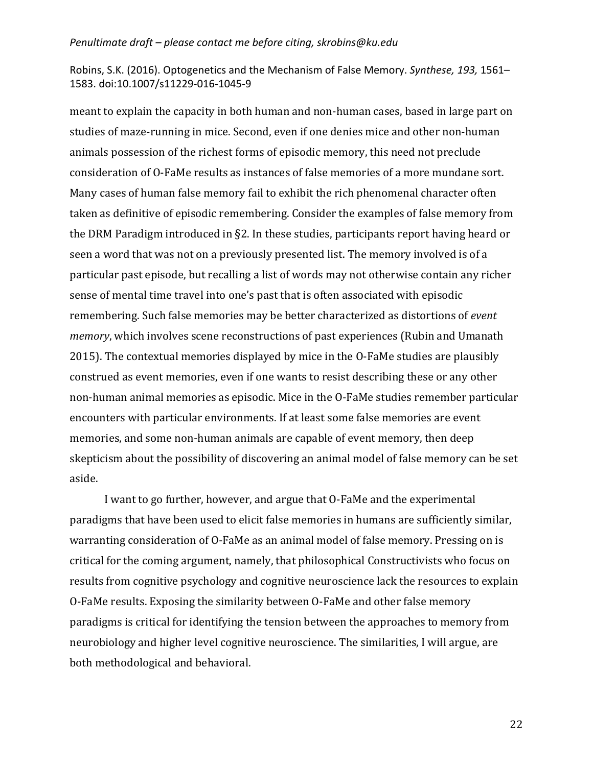Robins, S.K. (2016). Optogenetics and the Mechanism of False Memory. *Synthese, 193, 1561*-1583. doi:10.1007/s11229-016-1045-9

meant to explain the capacity in both human and non-human cases, based in large part on studies of maze-running in mice. Second, even if one denies mice and other non-human animals possession of the richest forms of episodic memory, this need not preclude consideration of O-FaMe results as instances of false memories of a more mundane sort. Many cases of human false memory fail to exhibit the rich phenomenal character often taken as definitive of episodic remembering. Consider the examples of false memory from the DRM Paradigm introduced in §2. In these studies, participants report having heard or seen a word that was not on a previously presented list. The memory involved is of a particular past episode, but recalling a list of words may not otherwise contain any richer sense of mental time travel into one's past that is often associated with episodic remembering. Such false memories may be better characterized as distortions of *event memory*, which involves scene reconstructions of past experiences (Rubin and Umanath 2015). The contextual memories displayed by mice in the O-FaMe studies are plausibly construed as event memories, even if one wants to resist describing these or any other non-human animal memories as episodic. Mice in the O-FaMe studies remember particular encounters with particular environments. If at least some false memories are event memories, and some non-human animals are capable of event memory, then deep skepticism about the possibility of discovering an animal model of false memory can be set aside. 

I want to go further, however, and argue that O-FaMe and the experimental paradigms that have been used to elicit false memories in humans are sufficiently similar, warranting consideration of O-FaMe as an animal model of false memory. Pressing on is critical for the coming argument, namely, that philosophical Constructivists who focus on results from cognitive psychology and cognitive neuroscience lack the resources to explain O-FaMe results. Exposing the similarity between O-FaMe and other false memory paradigms is critical for identifying the tension between the approaches to memory from neurobiology and higher level cognitive neuroscience. The similarities, I will argue, are both methodological and behavioral.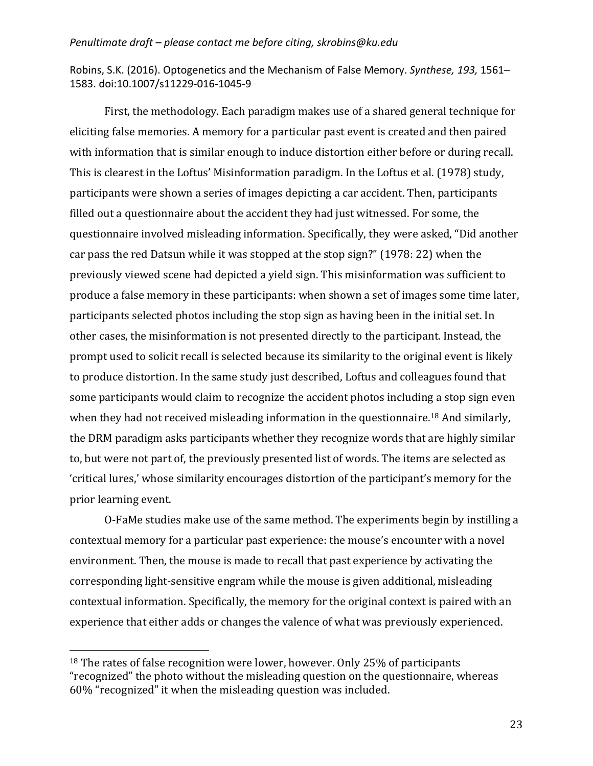Robins, S.K. (2016). Optogenetics and the Mechanism of False Memory. *Synthese, 193, 1561*-1583. doi:10.1007/s11229-016-1045-9

First, the methodology. Each paradigm makes use of a shared general technique for eliciting false memories. A memory for a particular past event is created and then paired with information that is similar enough to induce distortion either before or during recall. This is clearest in the Loftus' Misinformation paradigm. In the Loftus et al. (1978) study, participants were shown a series of images depicting a car accident. Then, participants filled out a questionnaire about the accident they had just witnessed. For some, the questionnaire involved misleading information. Specifically, they were asked, "Did another car pass the red Datsun while it was stopped at the stop sign?" (1978: 22) when the previously viewed scene had depicted a yield sign. This misinformation was sufficient to produce a false memory in these participants: when shown a set of images some time later, participants selected photos including the stop sign as having been in the initial set. In other cases, the misinformation is not presented directly to the participant. Instead, the prompt used to solicit recall is selected because its similarity to the original event is likely to produce distortion. In the same study just described, Loftus and colleagues found that some participants would claim to recognize the accident photos including a stop sign even when they had not received misleading information in the questionnaire.<sup>18</sup> And similarly, the DRM paradigm asks participants whether they recognize words that are highly similar to, but were not part of, the previously presented list of words. The items are selected as 'critical lures,' whose similarity encourages distortion of the participant's memory for the prior learning event.

O-FaMe studies make use of the same method. The experiments begin by instilling a contextual memory for a particular past experience: the mouse's encounter with a novel environment. Then, the mouse is made to recall that past experience by activating the corresponding light-sensitive engram while the mouse is given additional, misleading contextual information. Specifically, the memory for the original context is paired with an experience that either adds or changes the valence of what was previously experienced.

 $18$  The rates of false recognition were lower, however. Only 25% of participants "recognized" the photo without the misleading question on the questionnaire, whereas  $60\%$  "recognized" it when the misleading question was included.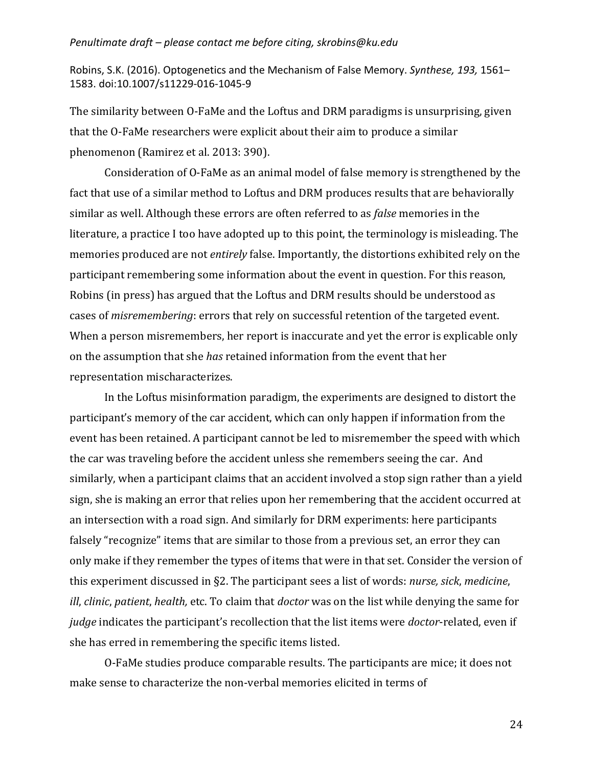Robins, S.K. (2016). Optogenetics and the Mechanism of False Memory. *Synthese, 193, 1561*-1583. doi:10.1007/s11229-016-1045-9

The similarity between O-FaMe and the Loftus and DRM paradigms is unsurprising, given that the O-FaMe researchers were explicit about their aim to produce a similar phenomenon (Ramirez et al. 2013: 390).

Consideration of O-FaMe as an animal model of false memory is strengthened by the fact that use of a similar method to Loftus and DRM produces results that are behaviorally similar as well. Although these errors are often referred to as *false* memories in the literature, a practice I too have adopted up to this point, the terminology is misleading. The memories produced are not *entirely* false. Importantly, the distortions exhibited rely on the participant remembering some information about the event in question. For this reason, Robins (in press) has argued that the Loftus and DRM results should be understood as cases of *misremembering*: errors that rely on successful retention of the targeted event. When a person misremembers, her report is inaccurate and yet the error is explicable only on the assumption that she *has* retained information from the event that her representation mischaracterizes.

In the Loftus misinformation paradigm, the experiments are designed to distort the participant's memory of the car accident, which can only happen if information from the event has been retained. A participant cannot be led to misremember the speed with which the car was traveling before the accident unless she remembers seeing the car. And similarly, when a participant claims that an accident involved a stop sign rather than a yield sign, she is making an error that relies upon her remembering that the accident occurred at an intersection with a road sign. And similarly for DRM experiments: here participants falsely "recognize" items that are similar to those from a previous set, an error they can only make if they remember the types of items that were in that set. Consider the version of this experiment discussed in §2. The participant sees a list of words: *nurse*, *sick*, *medicine*, *ill, clinic, patient, health, etc.* To claim that *doctor* was on the list while denying the same for *judge* indicates the participant's recollection that the list items were *doctor*-related, even if she has erred in remembering the specific items listed.

O-FaMe studies produce comparable results. The participants are mice; it does not make sense to characterize the non-verbal memories elicited in terms of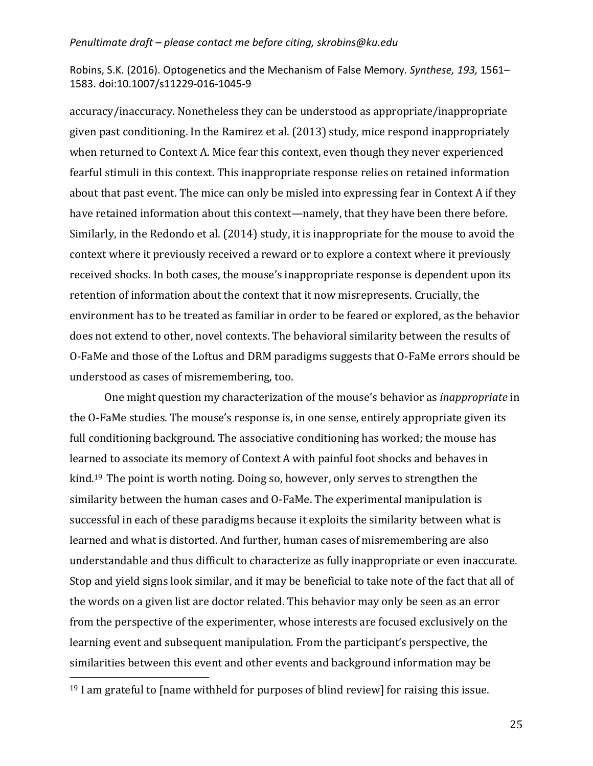Robins, S.K. (2016). Optogenetics and the Mechanism of False Memory. Synthese, 193, 1561– 1583. doi:10.1007/s11229-016-1045-9

accuracy/inaccuracy. Nonetheless they can be understood as appropriate/inappropriate given past conditioning. In the Ramirez et al. (2013) study, mice respond inappropriately when returned to Context A. Mice fear this context, even though they never experienced fearful stimuli in this context. This inappropriate response relies on retained information about that past event. The mice can only be misled into expressing fear in Context A if they have retained information about this context—namely, that they have been there before. Similarly, in the Redondo et al. (2014) study, it is inappropriate for the mouse to avoid the context where it previously received a reward or to explore a context where it previously received shocks. In both cases, the mouse's inappropriate response is dependent upon its retention of information about the context that it now misrepresents. Crucially, the environment has to be treated as familiar in order to be feared or explored, as the behavior does not extend to other, novel contexts. The behavioral similarity between the results of O-FaMe and those of the Loftus and DRM paradigms suggests that O-FaMe errors should be understood as cases of misremembering, too.

One might question my characterization of the mouse's behavior as *inappropriate* in the O-FaMe studies. The mouse's response is, in one sense, entirely appropriate given its full conditioning background. The associative conditioning has worked; the mouse has learned to associate its memory of Context A with painful foot shocks and behaves in kind.<sup>19</sup> The point is worth noting. Doing so, however, only serves to strengthen the similarity between the human cases and O-FaMe. The experimental manipulation is successful in each of these paradigms because it exploits the similarity between what is learned and what is distorted. And further, human cases of misremembering are also understandable and thus difficult to characterize as fully inappropriate or even inaccurate. Stop and yield signs look similar, and it may be beneficial to take note of the fact that all of the words on a given list are doctor related. This behavior may only be seen as an error from the perspective of the experimenter, whose interests are focused exclusively on the learning event and subsequent manipulation. From the participant's perspective, the similarities between this event and other events and background information may be

 $19$  I am grateful to [name withheld for purposes of blind review] for raising this issue.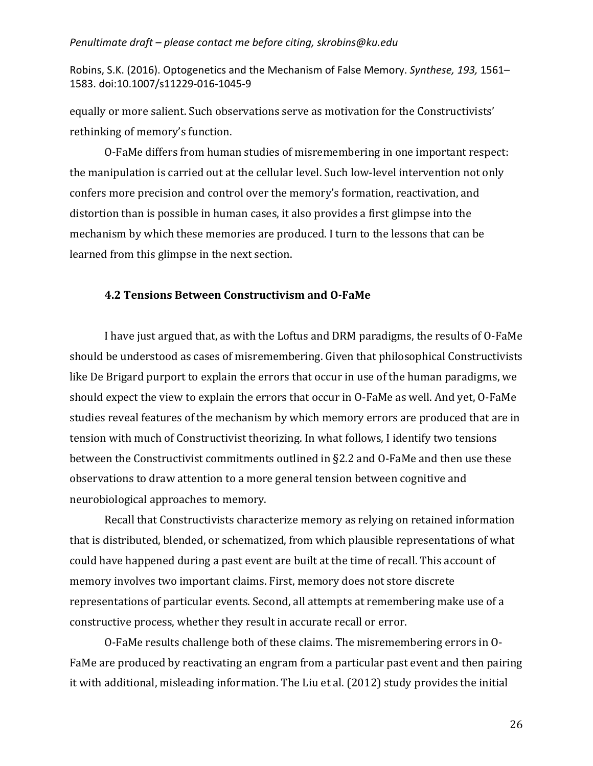Robins, S.K. (2016). Optogenetics and the Mechanism of False Memory. *Synthese, 193, 1561*-1583. doi:10.1007/s11229-016-1045-9

equally or more salient. Such observations serve as motivation for the Constructivists' rethinking of memory's function.

O-FaMe differs from human studies of misremembering in one important respect: the manipulation is carried out at the cellular level. Such low-level intervention not only confers more precision and control over the memory's formation, reactivation, and distortion than is possible in human cases, it also provides a first glimpse into the mechanism by which these memories are produced. I turn to the lessons that can be learned from this glimpse in the next section.

# **4.2 Tensions Between Constructivism and O-FaMe**

I have just argued that, as with the Loftus and DRM paradigms, the results of O-FaMe should be understood as cases of misremembering. Given that philosophical Constructivists like De Brigard purport to explain the errors that occur in use of the human paradigms, we should expect the view to explain the errors that occur in O-FaMe as well. And yet, O-FaMe studies reveal features of the mechanism by which memory errors are produced that are in tension with much of Constructivist theorizing. In what follows, I identify two tensions between the Constructivist commitments outlined in  $\S$ 2.2 and O-FaMe and then use these observations to draw attention to a more general tension between cognitive and neurobiological approaches to memory.

Recall that Constructivists characterize memory as relying on retained information that is distributed, blended, or schematized, from which plausible representations of what could have happened during a past event are built at the time of recall. This account of memory involves two important claims. First, memory does not store discrete representations of particular events. Second, all attempts at remembering make use of a constructive process, whether they result in accurate recall or error.

O-FaMe results challenge both of these claims. The misremembering errors in O-FaMe are produced by reactivating an engram from a particular past event and then pairing it with additional, misleading information. The Liu et al. (2012) study provides the initial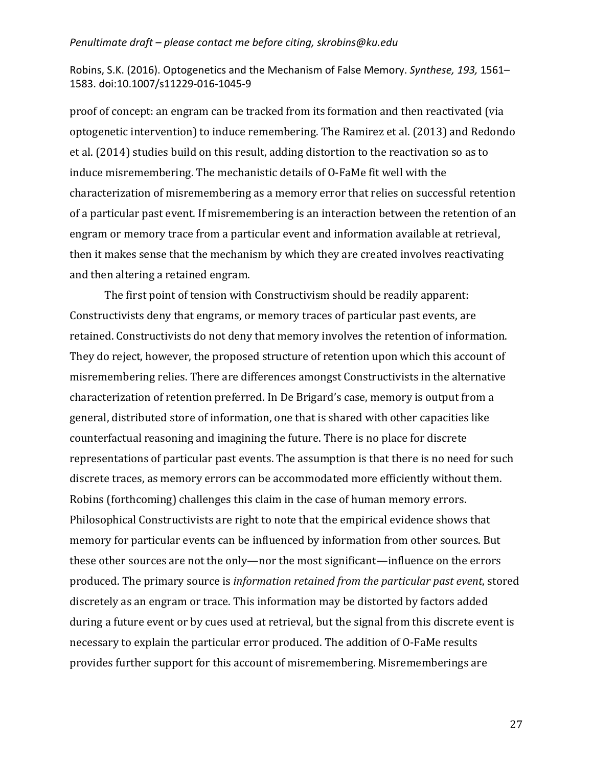Robins, S.K. (2016). Optogenetics and the Mechanism of False Memory. Synthese, 193, 1561– 1583. doi:10.1007/s11229-016-1045-9

proof of concept: an engram can be tracked from its formation and then reactivated (via optogenetic intervention) to induce remembering. The Ramirez et al. (2013) and Redondo et al. (2014) studies build on this result, adding distortion to the reactivation so as to induce misremembering. The mechanistic details of O-FaMe fit well with the characterization of misremembering as a memory error that relies on successful retention of a particular past event. If misremembering is an interaction between the retention of an engram or memory trace from a particular event and information available at retrieval, then it makes sense that the mechanism by which they are created involves reactivating and then altering a retained engram.

The first point of tension with Constructivism should be readily apparent: Constructivists deny that engrams, or memory traces of particular past events, are retained. Constructivists do not deny that memory involves the retention of information. They do reject, however, the proposed structure of retention upon which this account of misremembering relies. There are differences amongst Constructivists in the alternative characterization of retention preferred. In De Brigard's case, memory is output from a general, distributed store of information, one that is shared with other capacities like counterfactual reasoning and imagining the future. There is no place for discrete representations of particular past events. The assumption is that there is no need for such discrete traces, as memory errors can be accommodated more efficiently without them. Robins (forthcoming) challenges this claim in the case of human memory errors. Philosophical Constructivists are right to note that the empirical evidence shows that memory for particular events can be influenced by information from other sources. But these other sources are not the only—nor the most significant—influence on the errors produced. The primary source is *information retained from the particular past event*, stored discretely as an engram or trace. This information may be distorted by factors added during a future event or by cues used at retrieval, but the signal from this discrete event is necessary to explain the particular error produced. The addition of O-FaMe results provides further support for this account of misremembering. Misrememberings are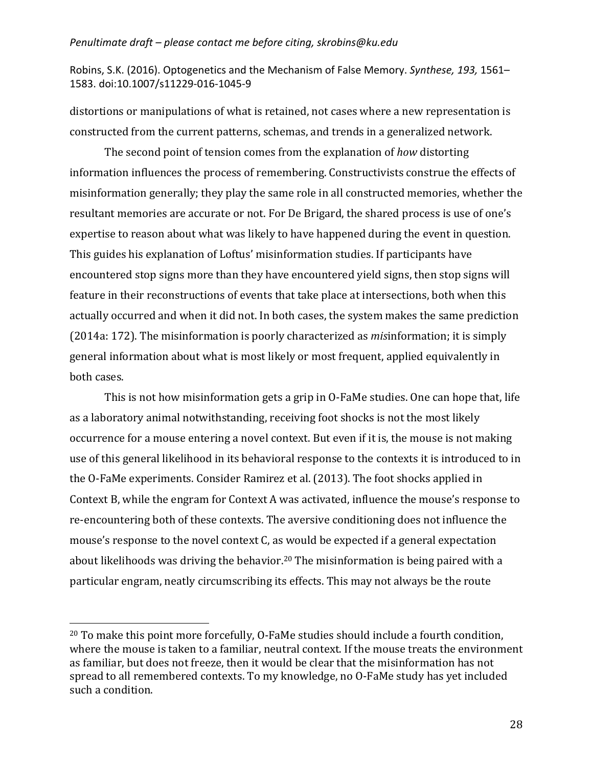Robins, S.K. (2016). Optogenetics and the Mechanism of False Memory. *Synthese, 193, 1561*-1583. doi:10.1007/s11229-016-1045-9

distortions or manipulations of what is retained, not cases where a new representation is constructed from the current patterns, schemas, and trends in a generalized network.

The second point of tension comes from the explanation of *how* distorting information influences the process of remembering. Constructivists construe the effects of misinformation generally; they play the same role in all constructed memories, whether the resultant memories are accurate or not. For De Brigard, the shared process is use of one's expertise to reason about what was likely to have happened during the event in question. This guides his explanation of Loftus' misinformation studies. If participants have encountered stop signs more than they have encountered yield signs, then stop signs will feature in their reconstructions of events that take place at intersections, both when this actually occurred and when it did not. In both cases, the system makes the same prediction (2014a: 172). The misinformation is poorly characterized as *misinformation*; it is simply general information about what is most likely or most frequent, applied equivalently in both cases.

This is not how misinformation gets a grip in O-FaMe studies. One can hope that, life as a laboratory animal notwithstanding, receiving foot shocks is not the most likely occurrence for a mouse entering a novel context. But even if it is, the mouse is not making use of this general likelihood in its behavioral response to the contexts it is introduced to in the O-FaMe experiments. Consider Ramirez et al. (2013). The foot shocks applied in Context B, while the engram for Context A was activated, influence the mouse's response to re-encountering both of these contexts. The aversive conditioning does not influence the mouse's response to the novel context C, as would be expected if a general expectation about likelihoods was driving the behavior.<sup>20</sup> The misinformation is being paired with a particular engram, neatly circumscribing its effects. This may not always be the route

 $20$  To make this point more forcefully, O-FaMe studies should include a fourth condition, where the mouse is taken to a familiar, neutral context. If the mouse treats the environment as familiar, but does not freeze, then it would be clear that the misinformation has not spread to all remembered contexts. To my knowledge, no O-FaMe study has yet included such a condition.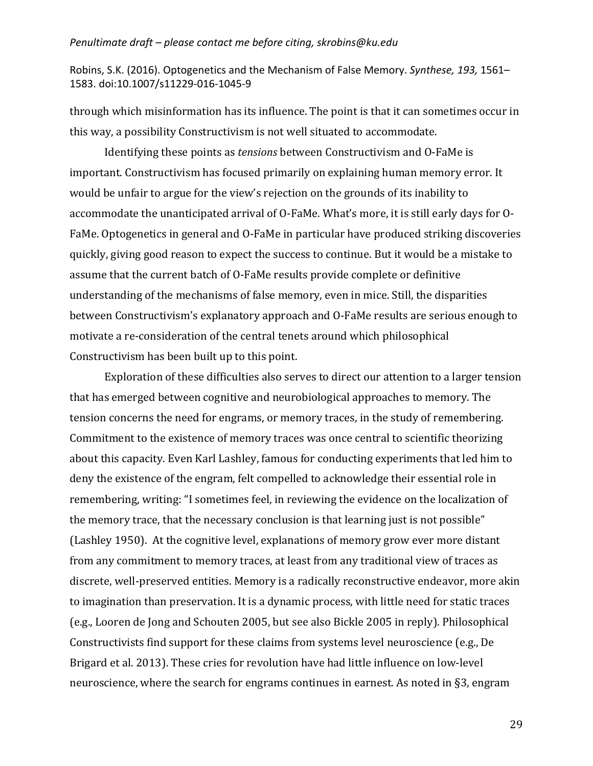Robins, S.K. (2016). Optogenetics and the Mechanism of False Memory. *Synthese, 193, 1561*-1583. doi:10.1007/s11229-016-1045-9

through which misinformation has its influence. The point is that it can sometimes occur in this way, a possibility Constructivism is not well situated to accommodate.

Identifying these points as *tensions* between Constructivism and O-FaMe is important. Constructivism has focused primarily on explaining human memory error. It would be unfair to argue for the view's rejection on the grounds of its inability to accommodate the unanticipated arrival of O-FaMe. What's more, it is still early days for O-FaMe. Optogenetics in general and O-FaMe in particular have produced striking discoveries quickly, giving good reason to expect the success to continue. But it would be a mistake to assume that the current batch of O-FaMe results provide complete or definitive understanding of the mechanisms of false memory, even in mice. Still, the disparities between Constructivism's explanatory approach and O-FaMe results are serious enough to motivate a re-consideration of the central tenets around which philosophical Constructivism has been built up to this point.

Exploration of these difficulties also serves to direct our attention to a larger tension that has emerged between cognitive and neurobiological approaches to memory. The tension concerns the need for engrams, or memory traces, in the study of remembering. Commitment to the existence of memory traces was once central to scientific theorizing about this capacity. Even Karl Lashley, famous for conducting experiments that led him to deny the existence of the engram, felt compelled to acknowledge their essential role in remembering, writing: "I sometimes feel, in reviewing the evidence on the localization of the memory trace, that the necessary conclusion is that learning just is not possible" (Lashley 1950). At the cognitive level, explanations of memory grow ever more distant from any commitment to memory traces, at least from any traditional view of traces as discrete, well-preserved entities. Memory is a radically reconstructive endeavor, more akin to imagination than preservation. It is a dynamic process, with little need for static traces (e.g., Looren de Jong and Schouten 2005, but see also Bickle 2005 in reply). Philosophical Constructivists find support for these claims from systems level neuroscience (e.g., De Brigard et al. 2013). These cries for revolution have had little influence on low-level neuroscience, where the search for engrams continues in earnest. As noted in §3, engram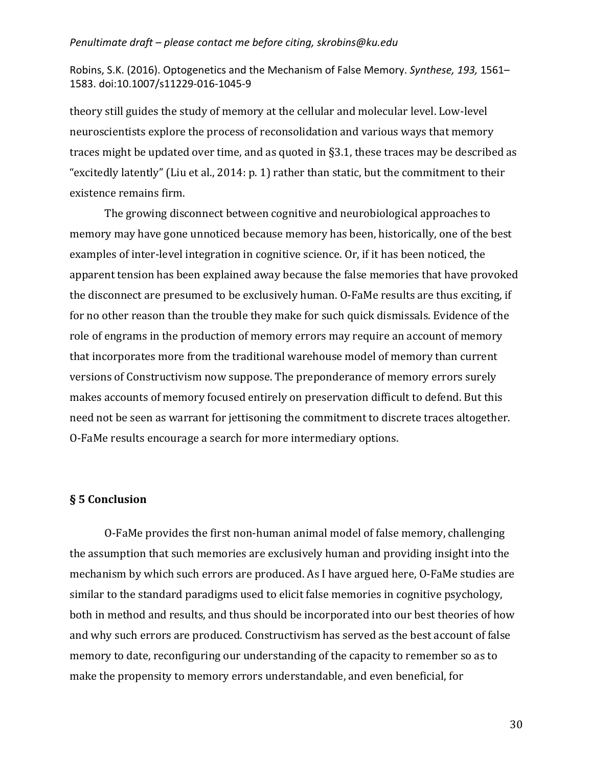Robins, S.K. (2016). Optogenetics and the Mechanism of False Memory. Synthese, 193, 1561– 1583. doi:10.1007/s11229-016-1045-9

theory still guides the study of memory at the cellular and molecular level. Low-level neuroscientists explore the process of reconsolidation and various ways that memory traces might be updated over time, and as quoted in  $\S 3.1$ , these traces may be described as "excitedly latently" (Liu et al., 2014: p. 1) rather than static, but the commitment to their existence remains firm.

The growing disconnect between cognitive and neurobiological approaches to memory may have gone unnoticed because memory has been, historically, one of the best examples of inter-level integration in cognitive science. Or, if it has been noticed, the apparent tension has been explained away because the false memories that have provoked the disconnect are presumed to be exclusively human. O-FaMe results are thus exciting, if for no other reason than the trouble they make for such quick dismissals. Evidence of the role of engrams in the production of memory errors may require an account of memory that incorporates more from the traditional warehouse model of memory than current versions of Constructivism now suppose. The preponderance of memory errors surely makes accounts of memory focused entirely on preservation difficult to defend. But this need not be seen as warrant for jettisoning the commitment to discrete traces altogether. O-FaMe results encourage a search for more intermediary options.

## **§ 5 Conclusion**

O-FaMe provides the first non-human animal model of false memory, challenging the assumption that such memories are exclusively human and providing insight into the mechanism by which such errors are produced. As I have argued here, O-FaMe studies are similar to the standard paradigms used to elicit false memories in cognitive psychology, both in method and results, and thus should be incorporated into our best theories of how and why such errors are produced. Constructivism has served as the best account of false memory to date, reconfiguring our understanding of the capacity to remember so as to make the propensity to memory errors understandable, and even beneficial, for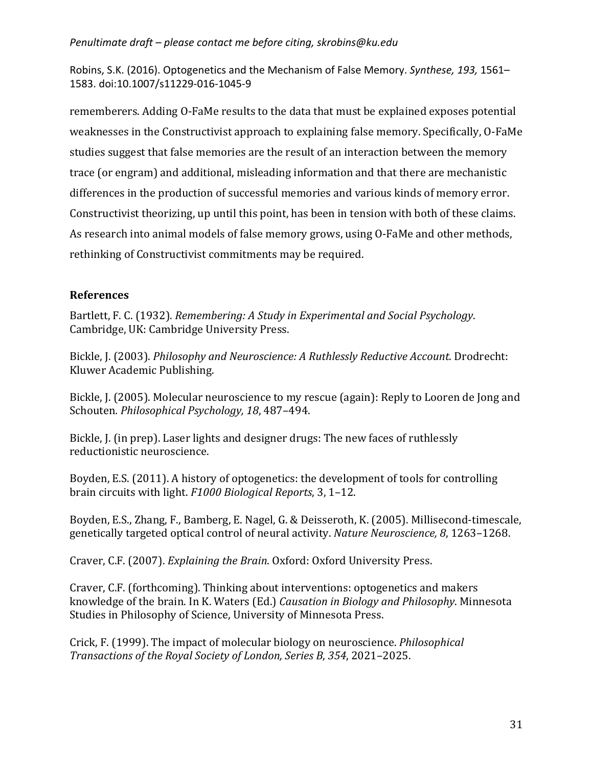Robins, S.K. (2016). Optogenetics and the Mechanism of False Memory. Synthese, 193, 1561– 1583. doi:10.1007/s11229-016-1045-9

rememberers. Adding O-FaMe results to the data that must be explained exposes potential weaknesses in the Constructivist approach to explaining false memory. Specifically, O-FaMe studies suggest that false memories are the result of an interaction between the memory trace (or engram) and additional, misleading information and that there are mechanistic differences in the production of successful memories and various kinds of memory error. Constructivist theorizing, up until this point, has been in tension with both of these claims. As research into animal models of false memory grows, using O-FaMe and other methods, rethinking of Constructivist commitments may be required.

# **References**

Bartlett, F. C. (1932). *Remembering: A Study in Experimental and Social Psychology.* Cambridge, UK: Cambridge University Press.

Bickle, J. (2003). *Philosophy and Neuroscience: A Ruthlessly Reductive Account*. Drodrecht: Kluwer Academic Publishing.

Bickle, J. (2005). Molecular neuroscience to my rescue (again): Reply to Looren de Jong and Schouten. Philosophical Psychology, 18, 487-494.

Bickle, J. (in prep). Laser lights and designer drugs: The new faces of ruthlessly reductionistic neuroscience.

Boyden, E.S. (2011). A history of optogenetics: the development of tools for controlling brain circuits with light. *F1000 Biological Reports*, 3, 1-12.

Boyden, E.S., Zhang, F., Bamberg, E. Nagel, G. & Deisseroth, K. (2005). Millisecond-timescale, genetically targeted optical control of neural activity. *Nature Neuroscience*, 8, 1263-1268.

Craver, C.F. (2007). *Explaining the Brain*. Oxford: Oxford University Press.

Craver, C.F. (forthcoming). Thinking about interventions: optogenetics and makers knowledge of the brain. In K. Waters (Ed.) *Causation in Biology and Philosophy*. Minnesota Studies in Philosophy of Science, University of Minnesota Press.

Crick, F. (1999). The impact of molecular biology on neuroscience. *Philosophical Transactions of the Royal Society of London, Series B*, *354*, 2021–2025.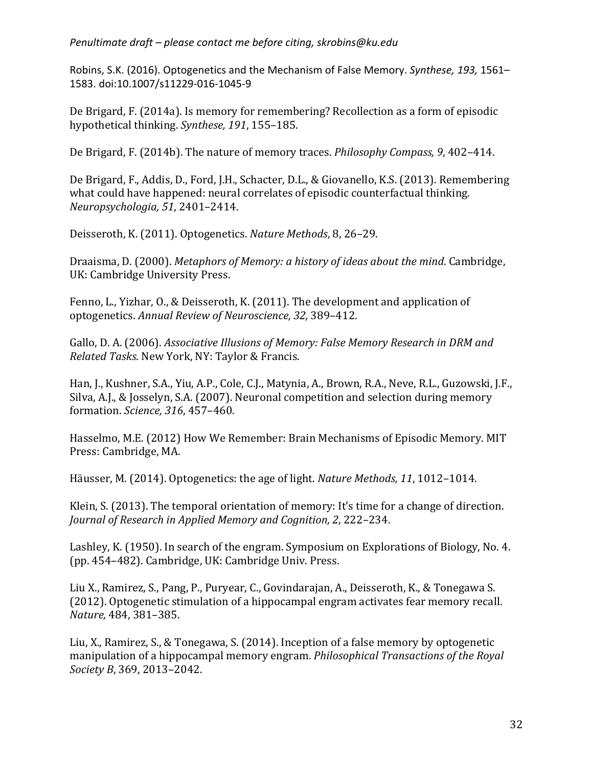Robins, S.K. (2016). Optogenetics and the Mechanism of False Memory. Synthese, 193, 1561– 1583. doi:10.1007/s11229-016-1045-9

De Brigard, F. (2014a). Is memory for remembering? Recollection as a form of episodic hypothetical thinking. *Synthese*, 191, 155-185.

De Brigard, F. (2014b). The nature of memory traces. *Philosophy Compass*, 9, 402–414.

De Brigard, F., Addis, D., Ford, J.H., Schacter, D.L., & Giovanello, K.S. (2013). Remembering what could have happened: neural correlates of episodic counterfactual thinking. *Neuropsychologia, 51*, 2401–2414. 

Deisseroth, K. (2011). Optogenetics. *Nature Methods*, 8, 26-29.

Draaisma, D. (2000). *Metaphors of Memory: a history of ideas about the mind*. Cambridge, UK: Cambridge University Press.

Fenno, L., Yizhar, O., & Deisseroth, K. (2011). The development and application of optogenetics. *Annual Review of Neuroscience, 32,* 389–412. 

Gallo, D. A. (2006). *Associative Illusions of Memory: False Memory Research in DRM and Related Tasks. New York, NY: Taylor & Francis.* 

Han, J., Kushner, S.A., Yiu, A.P., Cole, C.J., Matynia, A., Brown, R.A., Neve, R.L., Guzowski, J.F., Silva, A.J., & Josselyn, S.A. (2007). Neuronal competition and selection during memory formation. *Science, 316*, 457–460. 

Hasselmo, M.E. (2012) How We Remember: Brain Mechanisms of Episodic Memory. MIT Press: Cambridge, MA.

Häusser, M. (2014). Optogenetics: the age of light. *Nature Methods, 11*, 1012–1014.

Klein, S. (2013). The temporal orientation of memory: It's time for a change of direction. *Journal of Research in Applied Memory and Cognition, 2, 222–234.* 

Lashley, K. (1950). In search of the engram. Symposium on Explorations of Biology, No. 4. (pp. 454–482). Cambridge, UK: Cambridge Univ. Press.

Liu X., Ramirez, S., Pang, P., Puryear, C., Govindarajan, A., Deisseroth, K., & Tonegawa S. (2012). Optogenetic stimulation of a hippocampal engram activates fear memory recall. *Nature,* 484, 381–385.

Liu, X., Ramirez, S., & Tonegawa, S. (2014). Inception of a false memory by optogenetic manipulation of a hippocampal memory engram. *Philosophical Transactions of the Royal Society B*, 369, 2013-2042.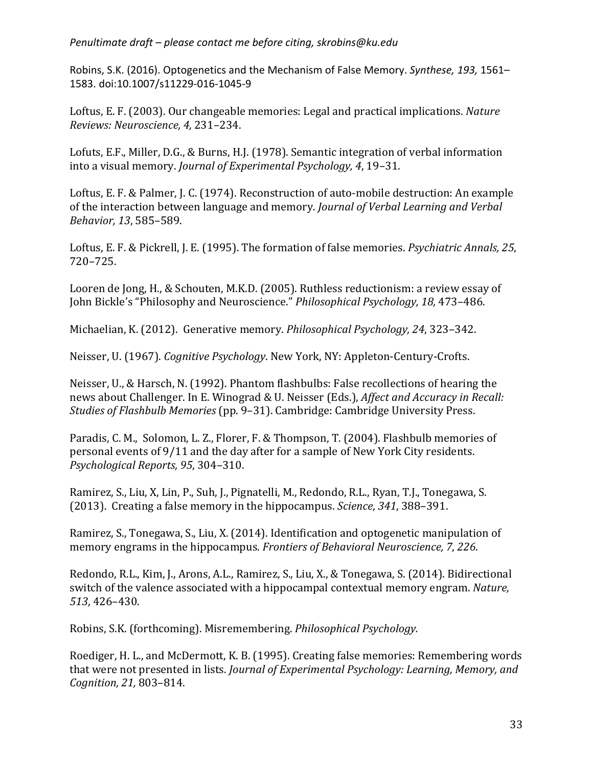Robins, S.K. (2016). Optogenetics and the Mechanism of False Memory. Synthese, 193, 1561– 1583. doi:10.1007/s11229-016-1045-9

Loftus, E. F. (2003). Our changeable memories: Legal and practical implications. *Nature Reviews: Neuroscience, 4,* 231–234.

Lofuts, E.F., Miller, D.G., & Burns, H.J. (1978). Semantic integration of verbal information into a visual memory. *Journal of Experimental Psychology*, 4, 19-31.

Loftus, E. F. & Palmer, J. C. (1974). Reconstruction of auto-mobile destruction: An example of the interaction between language and memory. *Journal of Verbal Learning and Verbal Behavior, 13*, 585–589.

Loftus, E. F. & Pickrell, J. E. (1995). The formation of false memories. *Psychiatric Annals, 25*, 720–725. 

Looren de Jong, H., & Schouten, M.K.D. (2005). Ruthless reductionism: a review essay of John Bickle's "Philosophy and Neuroscience." *Philosophical Psychology, 18, 473-486.* 

Michaelian, K. (2012). Generative memory. *Philosophical Psychology, 24, 323-342.* 

Neisser, U. (1967). *Cognitive Psychology*. New York, NY: Appleton-Century-Crofts.

Neisser, U., & Harsch, N. (1992). Phantom flashbulbs: False recollections of hearing the news about Challenger. In E. Winograd & U. Neisser (Eds.), *Affect and Accuracy in Recall: Studies of Flashbulb Memories* (pp. 9–31). Cambridge: Cambridge University Press.

Paradis, C. M., Solomon, L. Z., Florer, F. & Thompson, T. (2004). Flashbulb memories of personal events of 9/11 and the day after for a sample of New York City residents. *Psychological Reports, 95*, 304–310.

Ramirez, S., Liu, X, Lin, P., Suh, J., Pignatelli, M., Redondo, R.L., Ryan, T.J., Tonegawa, S. (2013). Creating a false memory in the hippocampus. *Science*, 341, 388–391.

Ramirez, S., Tonegawa, S., Liu, X. (2014). Identification and optogenetic manipulation of memory engrams in the hippocampus. *Frontiers of Behavioral Neuroscience, 7, 226.* 

Redondo, R.L., Kim, J., Arons, A.L., Ramirez, S., Liu, X., & Tonegawa, S. (2014). Bidirectional switch of the valence associated with a hippocampal contextual memory engram. *Nature*, *513*, 426–430. 

Robins, S.K. (forthcoming). Misremembering. *Philosophical Psychology.* 

Roediger, H. L., and McDermott, K. B. (1995). Creating false memories: Remembering words that were not presented in lists. *Journal of Experimental Psychology: Learning, Memory, and Cognition, 21,* 803–814.